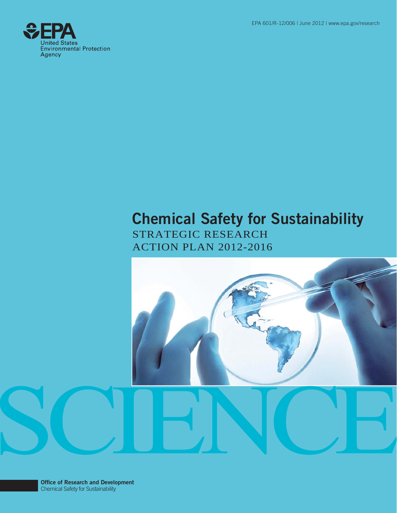EPA 601/R-12/006 | June 2012 | www.epa.gov/research



## **Chemical Safety for Sustainability**

STRATEGIC RESEARCH ACTION PLAN 2012-2016

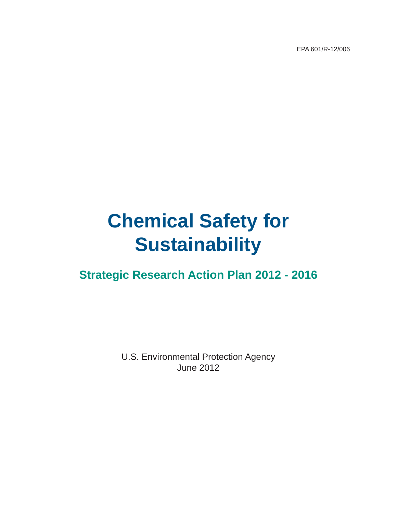EPA 601/R-12/006

# **Chemical Safety for Sustainability**

**Strategic Research Action Plan 2012 - 2016** 

U.S. Environmental Protection Agency June 2012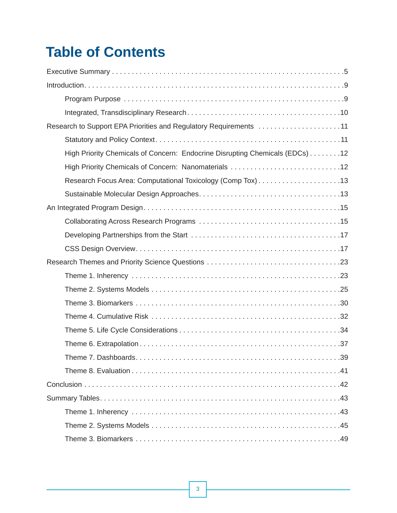## **Table of Contents**

| Research to Support EPA Priorities and Regulatory Requirements 11            |
|------------------------------------------------------------------------------|
|                                                                              |
| High Priority Chemicals of Concern: Endocrine Disrupting Chemicals (EDCs) 12 |
|                                                                              |
|                                                                              |
|                                                                              |
|                                                                              |
|                                                                              |
|                                                                              |
|                                                                              |
|                                                                              |
|                                                                              |
|                                                                              |
|                                                                              |
|                                                                              |
|                                                                              |
|                                                                              |
|                                                                              |
|                                                                              |
|                                                                              |
|                                                                              |
|                                                                              |
|                                                                              |
|                                                                              |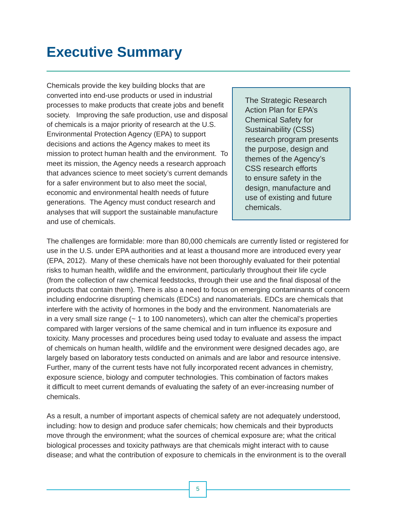## **Executive Summary**

Chemicals provide the key building blocks that are converted into end-use products or used in industrial processes to make products that create jobs and benefit society. Improving the safe production, use and disposal of chemicals is a major priority of research at the U.S. Environmental Protection Agency (EPA) to support decisions and actions the Agency makes to meet its mission to protect human health and the environment. To meet its mission, the Agency needs a research approach that advances science to meet society's current demands for a safer environment but to also meet the social, economic and environmental health needs of future generations. The Agency must conduct research and analyses that will support the sustainable manufacture and use of chemicals.

The Strategic Research Action Plan for EPA's Chemical Safety for Sustainability (CSS) research program presents the purpose, design and themes of the Agency's CSS research efforts to ensure safety in the design, manufacture and use of existing and future chemicals.

The challenges are formidable: more than 80,000 chemicals are currently listed or registered for use in the U.S. under EPA authorities and at least a thousand more are introduced every year (EPA, 2012). Many of these chemicals have not been thoroughly evaluated for their potential risks to human health, wildlife and the environment, particularly throughout their life cycle (from the collection of raw chemical feedstocks, through their use and the final disposal of the products that contain them). There is also a need to focus on emerging contaminants of concern including endocrine disrupting chemicals (EDCs) and nanomaterials. EDCs are chemicals that interfere with the activity of hormones in the body and the environment. Nanomaterials are in a very small size range  $\left(\sim 1 \text{ to } 100 \text{ nanometers}\right)$ , which can alter the chemical's properties compared with larger versions of the same chemical and in turn influence its exposure and toxicity. Many processes and procedures being used today to evaluate and assess the impact of chemicals on human health, wildlife and the environment were designed decades ago, are largely based on laboratory tests conducted on animals and are labor and resource intensive. Further, many of the current tests have not fully incorporated recent advances in chemistry, exposure science, biology and computer technologies. This combination of factors makes it difficult to meet current demands of evaluating the safety of an ever-increasing number of chemicals.

As a result, a number of important aspects of chemical safety are not adequately understood, including: how to design and produce safer chemicals; how chemicals and their byproducts move through the environment; what the sources of chemical exposure are; what the critical biological processes and toxicity pathways are that chemicals might interact with to cause disease; and what the contribution of exposure to chemicals in the environment is to the overall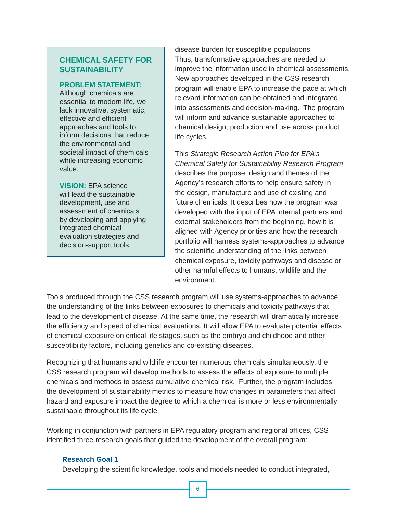### **CHEMICAL SAFETY FOR SUSTAINABILITY**

### **PROBLEM STATEMENT:**

Although chemicals are essential to modern life, we lack innovative, systematic, effective and efficient approaches and tools to inform decisions that reduce the environmental and societal impact of chemicals while increasing economic value.

**VISION:** EPA science will lead the sustainable development, use and assessment of chemicals by developing and applying integrated chemical evaluation strategies and decision-support tools.

disease burden for susceptible populations. Thus, transformative approaches are needed to improve the information used in chemical assessments. New approaches developed in the CSS research program will enable EPA to increase the pace at which relevant information can be obtained and integrated into assessments and decision-making. The program will inform and advance sustainable approaches to chemical design, production and use across product life cycles.

This *Strategic Research Action Plan for EPA's Chemical Safety for Sustainability Research Program*  describes the purpose, design and themes of the Agency's research efforts to help ensure safety in the design, manufacture and use of existing and future chemicals. It describes how the program was developed with the input of EPA internal partners and external stakeholders from the beginning, how it is aligned with Agency priorities and how the research portfolio will harness systems-approaches to advance the scientific understanding of the links between chemical exposure, toxicity pathways and disease or other harmful effects to humans, wildlife and the environment.

Tools produced through the CSS research program will use systems-approaches to advance the understanding of the links between exposures to chemicals and toxicity pathways that lead to the development of disease. At the same time, the research will dramatically increase the efficiency and speed of chemical evaluations. It will allow EPA to evaluate potential effects of chemical exposure on critical life stages, such as the embryo and childhood and other susceptibility factors, including genetics and co-existing diseases.

Recognizing that humans and wildlife encounter numerous chemicals simultaneously, the CSS research program will develop methods to assess the effects of exposure to multiple chemicals and methods to assess cumulative chemical risk. Further, the program includes the development of sustainability metrics to measure how changes in parameters that affect hazard and exposure impact the degree to which a chemical is more or less environmentally sustainable throughout its life cycle.

Working in conjunction with partners in EPA regulatory program and regional offices, CSS identified three research goals that guided the development of the overall program:

### **Research Goal 1**

Developing the scientific knowledge, tools and models needed to conduct integrated,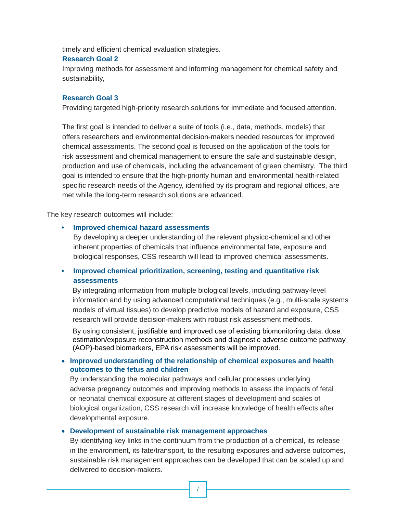timely and efficient chemical evaluation strategies.

### **Research Goal 2**

Improving methods for assessment and informing management for chemical safety and sustainability,

### **Research Goal 3**

Providing targeted high-priority research solutions for immediate and focused attention.

The first goal is intended to deliver a suite of tools (i.e., data, methods, models) that offers researchers and environmental decision-makers needed resources for improved chemical assessments. The second goal is focused on the application of the tools for risk assessment and chemical management to ensure the safe and sustainable design, production and use of chemicals, including the advancement of green chemistry. The third goal is intended to ensure that the high-priority human and environmental health-related specific research needs of the Agency, identified by its program and regional offices, are met while the long-term research solutions are advanced.

The key research outcomes will include:

### **• Improved chemical hazard assessments**

By developing a deeper understanding of the relevant physico-chemical and other inherent properties of chemicals that influence environmental fate, exposure and biological responses, CSS research will lead to improved chemical assessments.

### **• Improved chemical prioritization, screening, testing and quantitative risk assessments**

By integrating information from multiple biological levels, including pathway-level information and by using advanced computational techniques (e.g., multi-scale systems models of virtual tissues) to develop predictive models of hazard and exposure, CSS research will provide decision-makers with robust risk assessment methods.

By using consistent, justifiable and improved use of existing biomonitoring data, dose estimation/exposure reconstruction methods and diagnostic adverse outcome pathway (AOP)-based biomarkers, EPA risk assessments will be improved.

### **Improved understanding of the relationship of chemical exposures and health outcomes to the fetus and children**

By understanding the molecular pathways and cellular processes underlying adverse pregnancy outcomes and improving methods to assess the impacts of fetal or neonatal chemical exposure at different stages of development and scales of biological organization, CSS research will increase knowledge of health effects after developmental exposure.

### **Development of sustainable risk management approaches**

By identifying key links in the continuum from the production of a chemical, its release in the environment, its fate/transport, to the resulting exposures and adverse outcomes, sustainable risk management approaches can be developed that can be scaled up and delivered to decision-makers.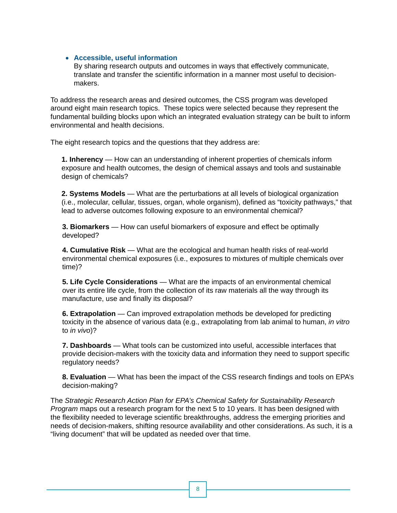### **Accessible, useful information**

By sharing research outputs and outcomes in ways that effectively communicate, translate and transfer the scientific information in a manner most useful to decisionmakers.

To address the research areas and desired outcomes, the CSS program was developed around eight main research topics. These topics were selected because they represent the fundamental building blocks upon which an integrated evaluation strategy can be built to inform environmental and health decisions.

The eight research topics and the questions that they address are:

**1. Inherency** — How can an understanding of inherent properties of chemicals inform exposure and health outcomes, the design of chemical assays and tools and sustainable design of chemicals?

**2. Systems Models** — What are the perturbations at all levels of biological organization (i.e., molecular, cellular, tissues, organ, whole organism), defined as "toxicity pathways," that lead to adverse outcomes following exposure to an environmental chemical?

**3. Biomarkers** — How can useful biomarkers of exposure and effect be optimally developed?

**4. Cumulative Risk** — What are the ecological and human health risks of real-world environmental chemical exposures (i.e., exposures to mixtures of multiple chemicals over time)?

**5. Life Cycle Considerations** — What are the impacts of an environmental chemical over its entire life cycle, from the collection of its raw materials all the way through its manufacture, use and finally its disposal?

**6. Extrapolation** — Can improved extrapolation methods be developed for predicting toxicity in the absence of various data (e.g., extrapolating from lab animal to human, *in vitro*  to *in vivo*)?

**7. Dashboards** — What tools can be customized into useful, accessible interfaces that provide decision-makers with the toxicity data and information they need to support specific regulatory needs?

**8. Evaluation** — What has been the impact of the CSS research findings and tools on EPA's decision-making?

The *Strategic Research Action Plan for EPA's Chemical Safety for Sustainability Research Program* maps out a research program for the next 5 to 10 years. It has been designed with the flexibility needed to leverage scientific breakthroughs, address the emerging priorities and needs of decision-makers, shifting resource availability and other considerations. As such, it is a "living document" that will be updated as needed over that time.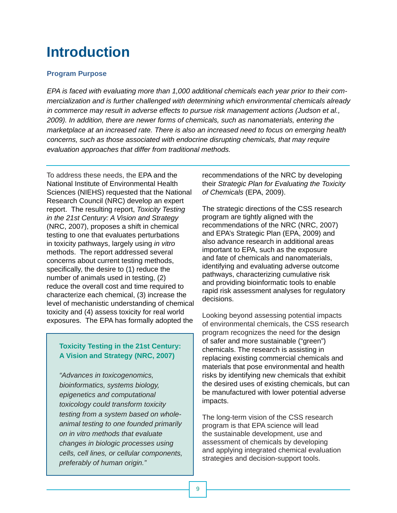## **Introduction**

### **Program Purpose**

*EPA is faced with evaluating more than 1,000 additional chemicals each year prior to their commercialization and is further challenged with determining which environmental chemicals already in commerce may result in adverse effects to pursue risk management actions (Judson et al., 2009). In addition, there are newer forms of chemicals, such as nanomaterials, entering the marketplace at an increased rate. There is also an increased need to focus on emerging health concerns, such as those associated with endocrine disrupting chemicals, that may require evaluation approaches that differ from traditional methods.* 

To address these needs, the EPA and the National Institute of Environmental Health Sciences (NIEHS) requested that the National Research Council (NRC) develop an expert report. The resulting report, *Toxicity Testing in the 21st Century: A Vision and Strategy*  (NRC, 2007), proposes a shift in chemical testing to one that evaluates perturbations in toxicity pathways, largely using *in vitro*  methods. The report addressed several concerns about current testing methods, specifically, the desire to (1) reduce the number of animals used in testing, (2) reduce the overall cost and time required to characterize each chemical, (3) increase the level of mechanistic understanding of chemical toxicity and (4) assess toxicity for real world exposures. The EPA has formally adopted the

### **Toxicity Testing in the 21st Century: A Vision and Strategy (NRC, 2007)**

*"Advances in toxicogenomics, bioinformatics, systems biology, epigenetics and computational toxicology could transform toxicity testing from a system based on wholeanimal testing to one founded primarily on in vitro methods that evaluate changes in biologic processes using cells, cell lines, or cellular components, preferably of human origin."* 

recommendations of the NRC by developing their *Strategic Plan for Evaluating the Toxicity of Chemicals* (EPA, 2009).

The strategic directions of the CSS research program are tightly aligned with the recommendations of the NRC (NRC, 2007) and EPA's Strategic Plan (EPA, 2009) and also advance research in additional areas important to EPA, such as the exposure and fate of chemicals and nanomaterials, identifying and evaluating adverse outcome pathways, characterizing cumulative risk and providing bioinformatic tools to enable rapid risk assessment analyses for regulatory decisions.

Looking beyond assessing potential impacts of environmental chemicals, the CSS research program recognizes the need for the design of safer and more sustainable ("green") chemicals. The research is assisting in replacing existing commercial chemicals and materials that pose environmental and health risks by identifying new chemicals that exhibit the desired uses of existing chemicals, but can be manufactured with lower potential adverse impacts.

The long-term vision of the CSS research program is that EPA science will lead the sustainable development, use and assessment of chemicals by developing and applying integrated chemical evaluation strategies and decision-support tools.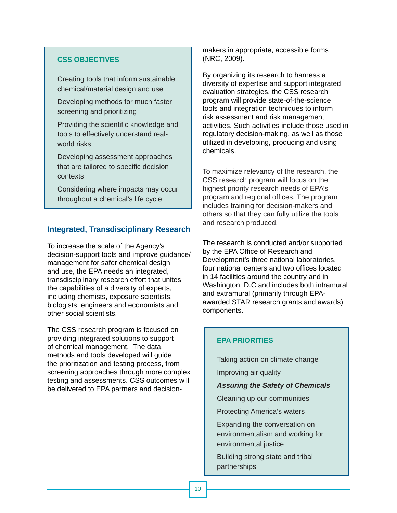### **CSS OBJECTIVES**

Creating tools that inform sustainable chemical/material design and use

Developing methods for much faster screening and prioritizing

Providing the scientific knowledge and tools to effectively understand realworld risks

Developing assessment approaches that are tailored to specific decision contexts

Considering where impacts may occur throughout a chemical's life cycle

### **Integrated, Transdisciplinary Research**

To increase the scale of the Agency's decision-support tools and improve guidance/ management for safer chemical design and use, the EPA needs an integrated, transdisciplinary research effort that unites the capabilities of a diversity of experts, including chemists, exposure scientists, biologists, engineers and economists and other social scientists.

The CSS research program is focused on providing integrated solutions to support of chemical management. The data, methods and tools developed will guide the prioritization and testing process, from screening approaches through more complex testing and assessments. CSS outcomes will be delivered to EPA partners and decisionmakers in appropriate, accessible forms (NRC, 2009).

By organizing its research to harness a diversity of expertise and support integrated evaluation strategies, the CSS research program will provide state-of-the-science tools and integration techniques to inform risk assessment and risk management activities. Such activities include those used in regulatory decision-making, as well as those utilized in developing, producing and using chemicals.

To maximize relevancy of the research, the CSS research program will focus on the highest priority research needs of EPA's program and regional offices. The program includes training for decision-makers and others so that they can fully utilize the tools and research produced.

The research is conducted and/or supported by the EPA Office of Research and Development's three national laboratories, four national centers and two offices located in 14 facilities around the country and in Washington, D.C and includes both intramural and extramural (primarily through EPAawarded STAR research grants and awards) components.

### **EPA PRIORITIES**

Taking action on climate change

Improving air quality

### *Assuring the Safety of Chemicals*

Cleaning up our communities

Protecting America's waters

Expanding the conversation on environmentalism and working for environmental justice

Building strong state and tribal partnerships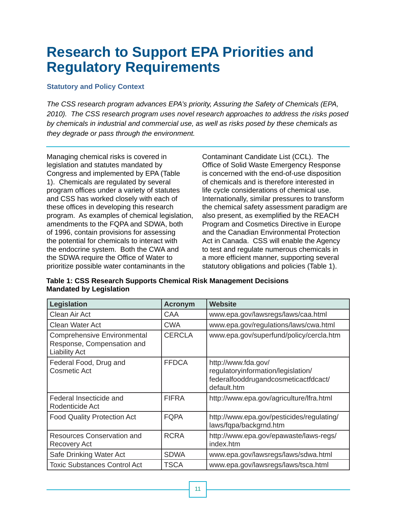## **Research to Support EPA Priorities and Regulatory Requirements**

### **Statutory and Policy Context**

*The CSS research program advances EPA's priority, Assuring the Safety of Chemicals (EPA, 2010). The CSS research program uses novel research approaches to address the risks posed by chemicals in industrial and commercial use, as well as risks posed by these chemicals as they degrade or pass through the environment.* 

Managing chemical risks is covered in legislation and statutes mandated by Congress and implemented by EPA (Table 1). Chemicals are regulated by several program offices under a variety of statutes and CSS has worked closely with each of these offices in developing this research program. As examples of chemical legislation, amendments to the FQPA and SDWA, both of 1996, contain provisions for assessing the potential for chemicals to interact with the endocrine system. Both the CWA and the SDWA require the Office of Water to prioritize possible water contaminants in the

Contaminant Candidate List (CCL). The Office of Solid Waste Emergency Response is concerned with the end-of-use disposition of chemicals and is therefore interested in life cycle considerations of chemical use. Internationally, similar pressures to transform the chemical safety assessment paradigm are also present, as exemplified by the REACH Program and Cosmetics Directive in Europe and the Canadian Environmental Protection Act in Canada. CSS will enable the Agency to test and regulate numerous chemicals in a more efficient manner, supporting several statutory obligations and policies (Table 1).

**Table 1: CSS Research Supports Chemical Risk Management Decisions Mandated by Legislation** 

| Legislation                                                                              | <b>Acronym</b> | <b>Website</b>                                                                                                   |
|------------------------------------------------------------------------------------------|----------------|------------------------------------------------------------------------------------------------------------------|
| Clean Air Act                                                                            | CAA            | www.epa.gov/lawsregs/laws/caa.html                                                                               |
| <b>Clean Water Act</b>                                                                   | <b>CWA</b>     | www.epa.gov/regulations/laws/cwa.html                                                                            |
| <b>Comprehensive Environmental</b><br>Response, Compensation and<br><b>Liability Act</b> | <b>CERCLA</b>  | www.epa.gov/superfund/policy/cercla.htm                                                                          |
| Federal Food, Drug and<br><b>Cosmetic Act</b>                                            | <b>FFDCA</b>   | http://www.fda.gov/<br>regulatoryinformation/legislation/<br>federalfooddrugandcosmeticactfdcact/<br>default.htm |
| Federal Insecticide and<br>Rodenticide Act                                               | <b>FIFRA</b>   | http://www.epa.gov/agriculture/lfra.html                                                                         |
| <b>Food Quality Protection Act</b>                                                       | <b>FQPA</b>    | http://www.epa.gov/pesticides/regulating/<br>laws/fqpa/backgrnd.htm                                              |
| Resources Conservation and<br><b>Recovery Act</b>                                        | <b>RCRA</b>    | http://www.epa.gov/epawaste/laws-regs/<br>index.htm                                                              |
| Safe Drinking Water Act                                                                  | <b>SDWA</b>    | www.epa.gov/lawsregs/laws/sdwa.html                                                                              |
| <b>Toxic Substances Control Act</b>                                                      | <b>TSCA</b>    | www.epa.gov/lawsregs/laws/tsca.html                                                                              |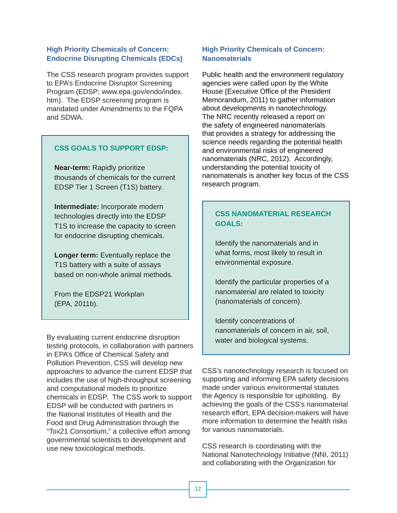### **High Priority Chemicals of Concern: Endocrine Disrupting Chemicals (EDCs)**

The CSS research program provides support to EPA's Endocrine Disruptor Screening Program (EDSP; www.epa.gov/endo/index. htm). The EDSP screening program is mandated under Amendments to the FQPA and SDWA.

### **CSS GOALS TO SUPPORT EDSP:**

**Near-term:** Rapidly prioritize thousands of chemicals for the current EDSP Tier 1 Screen (T1S) battery.

**Intermediate:** Incorporate modern technologies directly into the EDSP T1S to increase the capacity to screen for endocrine disrupting chemicals.

**Longer term:** Eventually replace the T1S battery with a suite of assays based on non-whole animal methods.

From the EDSP21 Workplan (EPA, 2011b).

By evaluating current endocrine disruption testing protocols, in collaboration with partners in EPA's Office of Chemical Safety and Pollution Prevention, CSS will develop new approaches to advance the current EDSP that includes the use of high-throughput screening and computational models to prioritize chemicals in EDSP. The CSS work to support EDSP will be conducted with partners in the National Institutes of Health and the Food and Drug Administration through the "Tox21 Consortium," a collective effort among governmental scientists to development and use new toxicological methods.

### **High Priority Chemicals of Concern: Nanomaterials**

Public health and the environment regulatory agencies were called upon by the White House (Executive Office of the President Memorandum, 2011) to gather information about developments in nanotechnology. The NRC recently released a report on the safety of engineered nanomaterials that provides a strategy for addressing the science needs regarding the potential health and environmental risks of engineered nanomaterials (NRC, 2012). Accordingly, understanding the potential toxicity of nanomaterials is another key focus of the CSS research program.

### **CSS NANOMATERIAL RESEARCH GOALS:**

Identify the nanomaterials and in what forms, most likely to result in environmental exposure.

Identify the particular properties of a nanomaterial are related to toxicity (nanomaterials of concern).

Identify concentrations of nanomaterials of concern in air, soil, water and biological systems.

CSS's nanotechnology research is focused on supporting and informing EPA safety decisions made under various environmental statutes the Agency is responsible for upholding. By achieving the goals of the CSS's nanomaterial research effort, EPA decision-makers will have more information to determine the health risks for various nanomaterials.

CSS research is coordinating with the National Nanotechnology Initiative (NNI, 2011) and collaborating with the Organization for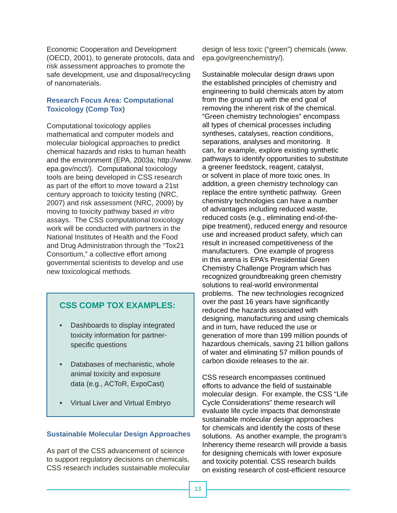Economic Cooperation and Development (OECD, 2001), to generate protocols, data and risk assessment approaches to promote the safe development, use and disposal/recycling of nanomaterials.

### **Research Focus Area: Computational Toxicology (Comp Tox)**

Computational toxicology applies mathematical and computer models and molecular biological approaches to predict chemical hazards and risks to human health and the environment (EPA, 2003a; http://www. epa.gov/ncct/). Computational toxicology tools are being developed in CSS research as part of the effort to move toward a 21st century approach to toxicity testing (NRC, 2007) and risk assessment (NRC, 2009) by moving to toxicity pathway based *in vitro*  assays. The CSS computational toxicology work will be conducted with partners in the National Institutes of Health and the Food and Drug Administration through the "Tox21 Consortium," a collective effort among governmental scientists to develop and use new toxicological methods.

### **CSS COMP TOX EXAMPLES:**

- Dashboards to display integrated toxicity information for partnerspecific questions
- Databases of mechanistic, whole animal toxicity and exposure data (e.g., ACToR, ExpoCast)
- Virtual Liver and Virtual Embryo

### **Sustainable Molecular Design Approaches**

As part of the CSS advancement of science to support regulatory decisions on chemicals, CSS research includes sustainable molecular design of less toxic ("green") chemicals (www. epa.gov/greenchemistry/).

Sustainable molecular design draws upon the established principles of chemistry and engineering to build chemicals atom by atom from the ground up with the end goal of removing the inherent risk of the chemical. "Green chemistry technologies" encompass all types of chemical processes including syntheses, catalyses, reaction conditions, separations, analyses and monitoring. It can, for example, explore existing synthetic pathways to identify opportunities to substitute a greener feedstock, reagent, catalyst, or solvent in place of more toxic ones. In addition, a green chemistry technology can replace the entire synthetic pathway. Green chemistry technologies can have a number of advantages including reduced waste, reduced costs (e.g., eliminating end-of-thepipe treatment), reduced energy and resource use and increased product safety, which can result in increased competitiveness of the manufacturers. One example of progress in this arena is EPA's Presidential Green Chemistry Challenge Program which has recognized groundbreaking green chemistry solutions to real-world environmental problems. The new technologies recognized over the past 16 years have significantly reduced the hazards associated with designing, manufacturing and using chemicals and in turn, have reduced the use or generation of more than 199 million pounds of hazardous chemicals, saving 21 billion gallons of water and eliminating 57 million pounds of carbon dioxide releases to the air.

CSS research encompasses continued efforts to advance the field of sustainable molecular design. For example, the CSS "Life Cycle Considerations" theme research will evaluate life cycle impacts that demonstrate sustainable molecular design approaches for chemicals and identify the costs of these solutions. As another example, the program's Inherency theme research will provide a basis for designing chemicals with lower exposure and toxicity potential. CSS research builds on existing research of cost-efficient resource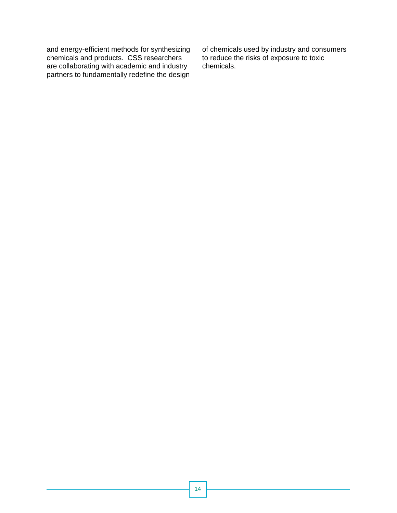chemicals and products. CSS researchers to reduce the risks of exposure to toxic are collaborating with academic and industry chemicals. partners to fundamentally redefine the design

of chemicals used by industry and consumers<br>to reduce the risks of exposure to toxic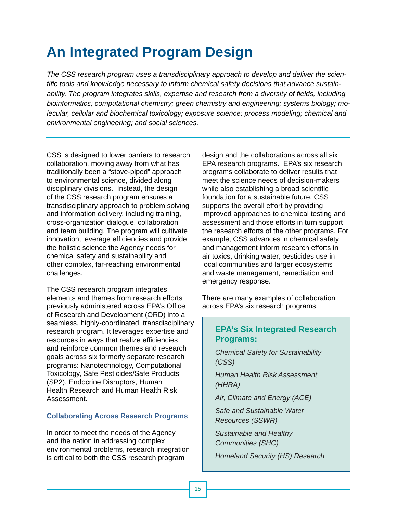## **An Integrated Program Design**

*The CSS research program uses a transdisciplinary approach to develop and deliver the scientific tools and knowledge necessary to inform chemical safety decisions that advance sustainability. The program integrates skills, expertise and research from a diversity of fields, including bioinformatics; computational chemistry; green chemistry and engineering; systems biology; molecular, cellular and biochemical toxicology; exposure science; process modeling; chemical and environmental engineering; and social sciences.* 

CSS is designed to lower barriers to research collaboration, moving away from what has traditionally been a "stove-piped" approach to environmental science, divided along disciplinary divisions. Instead, the design of the CSS research program ensures a transdisciplinary approach to problem solving and information delivery, including training, cross-organization dialogue, collaboration and team building. The program will cultivate innovation, leverage efficiencies and provide the holistic science the Agency needs for chemical safety and sustainability and other complex, far-reaching environmental challenges.

The CSS research program integrates elements and themes from research efforts previously administered across EPA's Office of Research and Development (ORD) into a seamless, highly-coordinated, transdisciplinary research program. It leverages expertise and resources in ways that realize efficiencies and reinforce common themes and research goals across six formerly separate research programs: Nanotechnology, Computational Toxicology, Safe Pesticides/Safe Products (SP2), Endocrine Disruptors, Human Health Research and Human Health Risk Assessment.

### **Collaborating Across Research Programs**

In order to meet the needs of the Agency and the nation in addressing complex environmental problems, research integration is critical to both the CSS research program

design and the collaborations across all six EPA research programs. EPA's six research programs collaborate to deliver results that meet the science needs of decision-makers while also establishing a broad scientific foundation for a sustainable future. CSS supports the overall effort by providing improved approaches to chemical testing and assessment and those efforts in turn support the research efforts of the other programs. For example, CSS advances in chemical safety and management inform research efforts in air toxics, drinking water, pesticides use in local communities and larger ecosystems and waste management, remediation and emergency response.

There are many examples of collaboration across EPA's six research programs.

### **EPA's Six Integrated Research Programs:**

*Chemical Safety for Sustainability (CSS)* 

*Human Health Risk Assessment (HHRA)*

*Air, Climate and Energy (ACE)*

*Safe and Sustainable Water Resources (SSWR)*

*Sustainable and Healthy Communities (SHC)* 

*Homeland Security (HS) Research*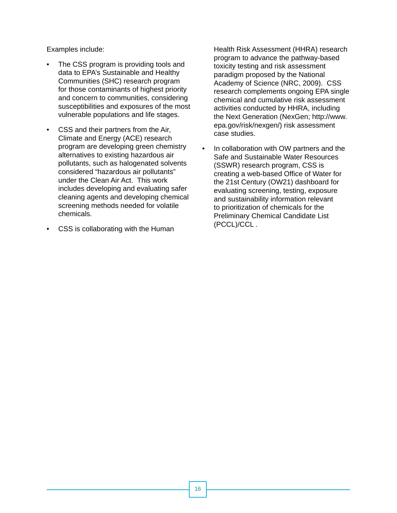Examples include:

- The CSS program is providing tools and data to EPA's Sustainable and Healthy Communities (SHC) research program for those contaminants of highest priority and concern to communities, considering susceptibilities and exposures of the most vulnerable populations and life stages.
- CSS and their partners from the Air, Climate and Energy (ACE) research program are developing green chemistry alternatives to existing hazardous air pollutants, such as halogenated solvents considered "hazardous air pollutants" under the Clean Air Act. This work includes developing and evaluating safer cleaning agents and developing chemical screening methods needed for volatile chemicals.
- CSS is collaborating with the Human

Health Risk Assessment (HHRA) research program to advance the pathway-based toxicity testing and risk assessment paradigm proposed by the National Academy of Science (NRC, 2009). CSS research complements ongoing EPA single chemical and cumulative risk assessment activities conducted by HHRA, including the Next Generation (NexGen; http://www. epa.gov/risk/nexgen/) risk assessment case studies.

• In collaboration with OW partners and the Safe and Sustainable Water Resources (SSWR) research program, CSS is creating a web-based Office of Water for the 21st Century (OW21) dashboard for evaluating screening, testing, exposure and sustainability information relevant to prioritization of chemicals for the Preliminary Chemical Candidate List (PCCL)/CCL .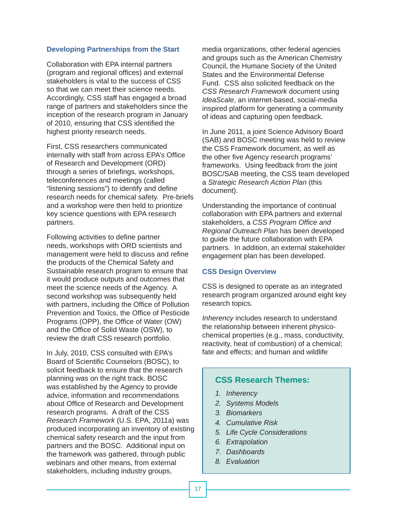### **Developing Partnerships from the Start**

Collaboration with EPA internal partners (program and regional offices) and external stakeholders is vital to the success of CSS so that we can meet their science needs. Accordingly, CSS staff has engaged a broad range of partners and stakeholders since the inception of the research program in January of 2010, ensuring that CSS identified the highest priority research needs.

First, CSS researchers communicated internally with staff from across EPA's Office of Research and Development (ORD) through a series of briefings, workshops, teleconferences and meetings (called "listening sessions") to identify and define research needs for chemical safety. Pre-briefs and a workshop were then held to prioritize key science questions with EPA research partners.

Following activities to define partner needs, workshops with ORD scientists and management were held to discuss and refine the products of the Chemical Safety and Sustainable research program to ensure that it would produce outputs and outcomes that meet the science needs of the Agency. A second workshop was subsequently held with partners, including the Office of Pollution Prevention and Toxics, the Office of Pesticide Programs (OPP), the Office of Water (OW) and the Office of Solid Waste (OSW), to review the draft CSS research portfolio.

In July, 2010, CSS consulted with EPA's Board of Scientific Counselors (BOSC), to solicit feedback to ensure that the research planning was on the right track. BOSC was established by the Agency to provide advice, information and recommendations about Office of Research and Development research programs. A draft of the CSS *Research Framework* (U.S. EPA, 2011a) was produced incorporating an inventory of existing chemical safety research and the input from partners and the BOSC. Additional input on the framework was gathered, through public webinars and other means, from external stakeholders, including industry groups,

media organizations, other federal agencies and groups such as the American Chemistry Council, the Humane Society of the United States and the Environmental Defense Fund. CSS also solicited feedback on the *CSS Research Framework* document using *IdeaScale*, an internet-based, social-media inspired platform for generating a community of ideas and capturing open feedback.

In June 2011, a joint Science Advisory Board (SAB) and BOSC meeting was held to review the CSS Framework document, as well as the other five Agency research programs' frameworks. Using feedback from the joint BOSC/SAB meeting, the CSS team developed a *Strategic Research Action Plan* (this document).

Understanding the importance of continual collaboration with EPA partners and external stakeholders, a CSS Program Office and *Regional Outreach Plan* has been developed to guide the future collaboration with EPA partners. In addition, an external stakeholder engagement plan has been developed.

### **CSS Design Overview**

CSS is designed to operate as an integrated research program organized around eight key research topics.

*Inherency* includes research to understand the relationship between inherent physicochemical properties (e.g., mass, conductivity, reactivity, heat of combustion) of a chemical; fate and effects; and human and wildlife

### **CSS Research Themes:**

- *1. Inherency*
- *2. Systems Models*
- *3. Biomarkers*
- *4. Cumulative Risk*
- *5. Life Cycle Considerations*
- *6. Extrapolation*
- *7. Dashboards*
- *8. Evaluation*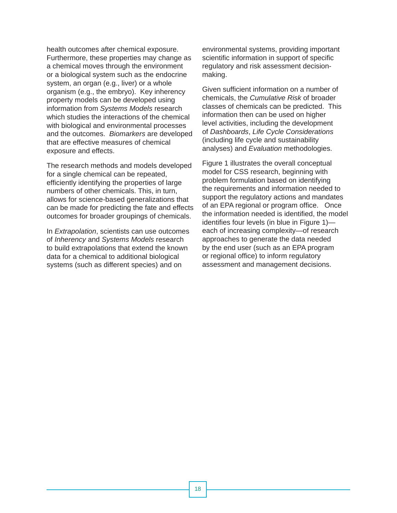health outcomes after chemical exposure. Furthermore, these properties may change as a chemical moves through the environment or a biological system such as the endocrine system, an organ (e.g., liver) or a whole organism (e.g., the embryo). Key inherency property models can be developed using information from *Systems Models* research which studies the interactions of the chemical with biological and environmental processes and the outcomes. *Biomarkers* are developed that are effective measures of chemical exposure and effects.

The research methods and models developed for a single chemical can be repeated, efficiently identifying the properties of large numbers of other chemicals. This, in turn, allows for science-based generalizations that can be made for predicting the fate and effects outcomes for broader groupings of chemicals.

In *Extrapolation*, scientists can use outcomes of *Inherency* and *Systems Models* research to build extrapolations that extend the known data for a chemical to additional biological systems (such as different species) and on

environmental systems, providing important scientific information in support of specific regulatory and risk assessment decisionmaking.

Given sufficient information on a number of chemicals, the *Cumulative Risk* of broader classes of chemicals can be predicted. This information then can be used on higher level activities, including the development of *Dashboards*, *Life Cycle Considerations*  (including life cycle and sustainability analyses) and *Evaluation* methodologies.

Figure 1 illustrates the overall conceptual model for CSS research, beginning with problem formulation based on identifying the requirements and information needed to support the regulatory actions and mandates of an EPA regional or program office. Once the information needed is identified, the model identifies four levels (in blue in Figure 1) each of increasing complexity—of research approaches to generate the data needed by the end user (such as an EPA program or regional office) to inform regulatory assessment and management decisions.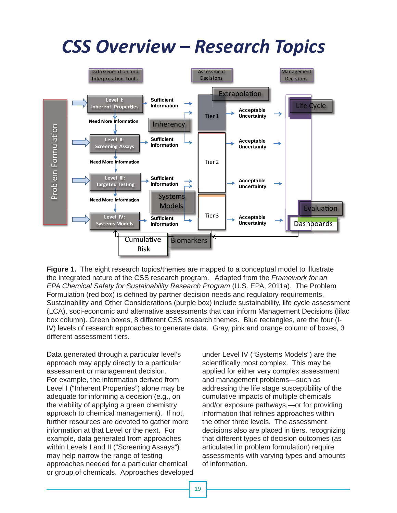# *CSS Overview – Research Topics*



 **Figure 1.** The eight research topics/themes are mapped to a conceptual model to illustrate the integrated nature of the CSS research program. Adapted from the *Framework for an EPA Chemical Safety for Sustainability Research Program* (U.S. EPA, 2011a). The Problem Formulation (red box) is defined by partner decision needs and regulatory requirements. Sustainability and Other Considerations (purple box) include sustainability, life cycle assessment (LCA), soci-economic and alternative assessments that can inform Management Decisions (lilac box column). Green boxes, 8 different CSS research themes. Blue rectangles, are the four (I-IV) levels of research approaches to generate data. Gray, pink and orange column of boxes, 3 different assessment tiers.

Data generated through a particular level's approach may apply directly to a particular assessment or management decision. For example, the information derived from Level I ("Inherent Properties") alone may be adequate for informing a decision (e.g., on the viability of applying a green chemistry approach to chemical management). If not, further resources are devoted to gather more information at that Level or the next. For example, data generated from approaches within Levels I and II ("Screening Assays") may help narrow the range of testing approaches needed for a particular chemical or group of chemicals. Approaches developed

under Level IV ("Systems Models") are the scientifically most complex. This may be applied for either very complex assessment and management problems—such as addressing the life stage susceptibility of the cumulative impacts of multiple chemicals and/or exposure pathways,—or for providing information that refines approaches within the other three levels. The assessment decisions also are placed in tiers, recognizing that different types of decision outcomes (as articulated in problem formulation) require assessments with varying types and amounts of information.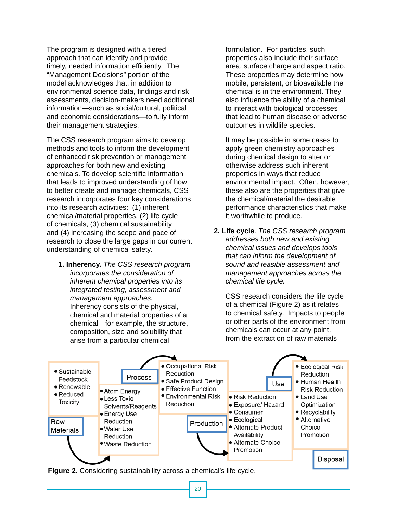The program is designed with a tiered approach that can identify and provide timely, needed information efficiently. The "Management Decisions" portion of the model acknowledges that, in addition to environmental science data, findings and risk assessments, decision-makers need additional information—such as social/cultural, political and economic considerations—to fully inform their management strategies.

The CSS research program aims to develop methods and tools to inform the development of enhanced risk prevention or management approaches for both new and existing chemicals. To develop scientific information that leads to improved understanding of how to better create and manage chemicals, CSS research incorporates four key considerations into its research activities: (1) inherent chemical/material properties, (2) life cycle of chemicals, (3) chemical sustainability and (4) increasing the scope and pace of research to close the large gaps in our current understanding of chemical safety.

**1. Inherency.** *The CSS research program incorporates the consideration of inherent chemical properties into its integrated testing, assessment and management approaches.*  Inherency consists of the physical, chemical and material properties of a chemical—for example, the structure, composition, size and solubility that arise from a particular chemical

formulation. For particles, such properties also include their surface area, surface charge and aspect ratio. These properties may determine how mobile, persistent, or bioavailable the chemical is in the environment. They also influence the ability of a chemical to interact with biological processes that lead to human disease or adverse outcomes in wildlife species.

It may be possible in some cases to apply green chemistry approaches during chemical design to alter or otherwise address such inherent properties in ways that reduce environmental impact. Often, however, these also are the properties that give the chemical/material the desirable performance characteristics that make it worthwhile to produce.

**2. Life cycle**. *The CSS research program addresses both new and existing chemical issues and develops tools that can inform the development of sound and feasible assessment and management approaches across the chemical life cycle.* 

CSS research considers the life cycle of a chemical (Figure 2) as it relates to chemical safety. Impacts to people or other parts of the environment from chemicals can occur at any point, from the extraction of raw materials



**Figure 2.** Considering sustainability across a chemical's life cycle.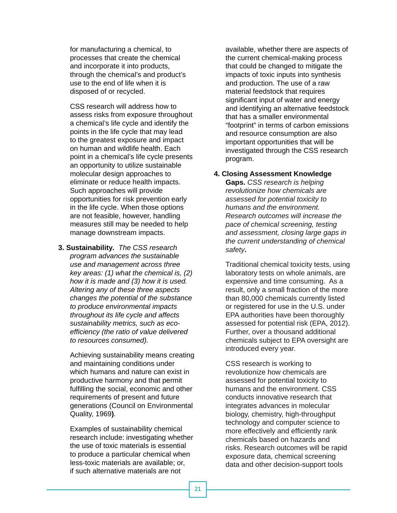for manufacturing a chemical, to processes that create the chemical and incorporate it into products, through the chemical's and product's use to the end of life when it is disposed of or recycled.

CSS research will address how to assess risks from exposure throughout a chemical's life cycle and identify the points in the life cycle that may lead to the greatest exposure and impact on human and wildlife health. Each point in a chemical's life cycle presents an opportunity to utilize sustainable molecular design approaches to eliminate or reduce health impacts. Such approaches will provide opportunities for risk prevention early in the life cycle. When those options are not feasible, however, handling measures still may be needed to help manage downstream impacts.

**3. Sustainability***. The CSS research program advances the sustainable use and management across three key areas: (1) what the chemical is, (2) how it is made and (3) how it is used. Altering any of these three aspects changes the potential of the substance to produce environmental impacts throughout its life cycle and affects sustainability metrics, such as ecoefficiency (the ratio of value delivered to resources consumed).* 

Achieving sustainability means creating and maintaining conditions under which humans and nature can exist in productive harmony and that permit fulfilling the social, economic and other requirements of present and future generations (Council on Environmental Quality, 1969**)**.

Examples of sustainability chemical research include: investigating whether the use of toxic materials is essential to produce a particular chemical when less-toxic materials are available; or, if such alternative materials are not

available, whether there are aspects of the current chemical-making process that could be changed to mitigate the impacts of toxic inputs into synthesis and production. The use of a raw material feedstock that requires significant input of water and energy and identifying an alternative feedstock that has a smaller environmental "footprint" in terms of carbon emissions and resource consumption are also important opportunities that will be investigated through the CSS research program.

### **4. Closing Assessment Knowledge**

**Gaps.** *CSS research is helping revolutionize how chemicals are assessed for potential toxicity to humans and the environment. Research outcomes will increase the pace of chemical screening, testing and assessment, closing large gaps in the current understanding of chemical safety***.** 

Traditional chemical toxicity tests, using laboratory tests on whole animals, are expensive and time consuming. As a result, only a small fraction of the more than 80,000 chemicals currently listed or registered for use in the U.S. under EPA authorities have been thoroughly assessed for potential risk (EPA, 2012). Further, over a thousand additional chemicals subject to EPA oversight are introduced every year.

CSS research is working to revolutionize how chemicals are assessed for potential toxicity to humans and the environment. CSS conducts innovative research that integrates advances in molecular biology, chemistry, high-throughput technology and computer science to more effectively and efficiently rank chemicals based on hazards and risks. Research outcomes will be rapid exposure data, chemical screening data and other decision-support tools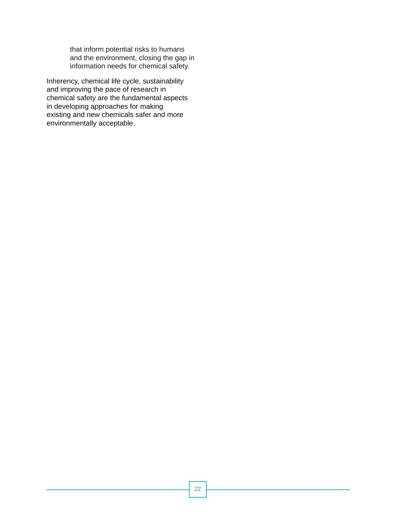that inform potential risks to humans and the environment, closing the gap in information needs for chemical safety.

Inherency, chemical life cycle, sustainability and improving the pace of research in chemical safety are the fundamental aspects in developing approaches for making existing and new chemicals safer and more environmentally acceptable.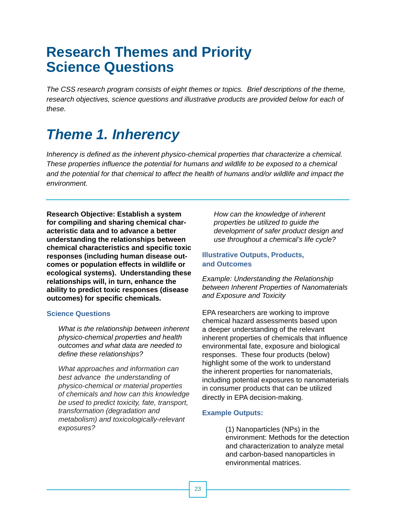## **Research Themes and Priority Science Questions**

*The CSS research program consists of eight themes or topics. Brief descriptions of the theme,*  research objectives, science questions and illustrative products are provided below for each of *these.* 

## *Theme 1. Inherency*

*Inherency is defined as the inherent physico-chemical properties that characterize a chemical. These properties influence the potential for humans and wildlife to be exposed to a chemical and the potential for that chemical to affect the health of humans and/or wildlife and impact the environment.* 

**Research Objective: Establish a system for compiling and sharing chemical characteristic data and to advance a better understanding the relationships between chemical characteristics and specifi c toxic responses (including human disease outcomes or population effects in wildlife or ecological systems). Understanding these relationships will, in turn, enhance the ability to predict toxic responses (disease outcomes) for specific chemicals.** 

### **Science Questions**

*What is the relationship between inherent physico-chemical properties and health outcomes and what data are needed to define these relationships?* 

*What approaches and information can best advance the understanding of physico-chemical or material properties of chemicals and how can this knowledge be used to predict toxicity, fate, transport, transformation (degradation and metabolism) and toxicologically-relevant exposures?* 

*How can the knowledge of inherent properties be utilized to guide the development of safer product design and use throughout a chemical's life cycle?* 

### **Illustrative Outputs, Products, and Outcomes**

*Example: Understanding the Relationship between Inherent Properties of Nanomaterials and Exposure and Toxicity* 

EPA researchers are working to improve chemical hazard assessments based upon a deeper understanding of the relevant inherent properties of chemicals that influence environmental fate, exposure and biological responses. These four products (below) highlight some of the work to understand the inherent properties for nanomaterials, including potential exposures to nanomaterials in consumer products that can be utilized directly in EPA decision-making.

### **Example Outputs:**

(1) Nanoparticles (NPs) in the environment: Methods for the detection and characterization to analyze metal and carbon-based nanoparticles in environmental matrices.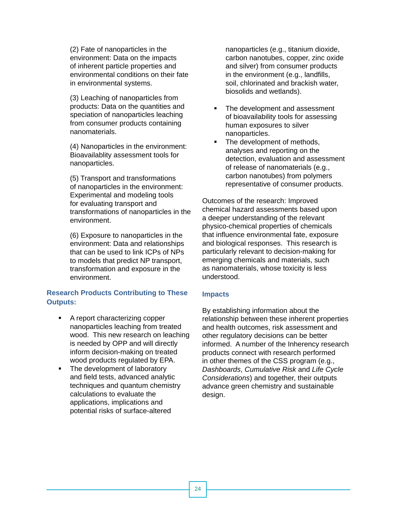(2) Fate of nanoparticles in the environment: Data on the impacts of inherent particle properties and environmental conditions on their fate in environmental systems.

(3) Leaching of nanoparticles from products: Data on the quantities and speciation of nanoparticles leaching from consumer products containing nanomaterials.

(4) Nanoparticles in the environment: Bioavailablity assessment tools for nanoparticles.

(5) Transport and transformations of nanoparticles in the environment: Experimental and modeling tools for evaluating transport and transformations of nanoparticles in the environment.

(6) Exposure to nanoparticles in the environment: Data and relationships that can be used to link ICPs of NPs to models that predict NP transport, transformation and exposure in the environment.

### **Research Products Contributing to These Outputs:**

- A report characterizing copper nanoparticles leaching from treated wood. This new research on leaching is needed by OPP and will directly inform decision-making on treated wood products regulated by EPA.
- The development of laboratory and field tests, advanced analytic techniques and quantum chemistry calculations to evaluate the applications, implications and potential risks of surface-altered

nanoparticles (e.g., titanium dioxide, carbon nanotubes, copper, zinc oxide and silver) from consumer products in the environment (e.g., landfills, soil, chlorinated and brackish water, biosolids and wetlands).

- The development and assessment of bioavailability tools for assessing human exposures to silver nanoparticles.
- The development of methods, analyses and reporting on the detection, evaluation and assessment of release of nanomaterials (e.g., carbon nanotubes) from polymers representative of consumer products.

Outcomes of the research: Improved chemical hazard assessments based upon a deeper understanding of the relevant physico-chemical properties of chemicals that influence environmental fate, exposure and biological responses. This research is particularly relevant to decision-making for emerging chemicals and materials, such as nanomaterials, whose toxicity is less understood.

### **Impacts**

By establishing information about the relationship between these inherent properties and health outcomes, risk assessment and other regulatory decisions can be better informed. A number of the Inherency research products connect with research performed in other themes of the CSS program (e.g., *Dashboards*, *Cumulative Risk* and *Life Cycle Considerations*) and together, their outputs advance green chemistry and sustainable design.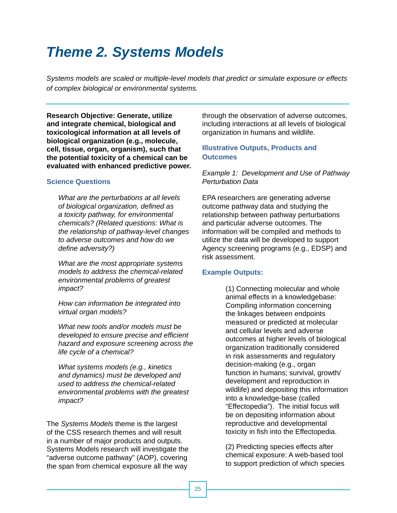## *Theme 2. Systems Models*

*Systems models are scaled or multiple-level models that predict or simulate exposure or effects of complex biological or environmental systems.* 

**Research Objective: Generate, utilize and integrate chemical, biological and toxicological information at all levels of biological organization (e.g., molecule, cell, tissue, organ, organism), such that the potential toxicity of a chemical can be evaluated with enhanced predictive power.** 

### **Science Questions**

*What are the perturbations at all levels of biological organization, defi ned as a toxicity pathway, for environmental chemicals? (Related questions: What is the relationship of pathway-level changes to adverse outcomes and how do we defi ne adversity?)* 

*What are the most appropriate systems models to address the chemical-related environmental problems of greatest impact?* 

*How can information be integrated into virtual organ models?* 

*What new tools and/or models must be developed to ensure precise and efficient hazard and exposure screening across the life cycle of a chemical?* 

*What systems models (e.g., kinetics and dynamics) must be developed and used to address the chemical-related environmental problems with the greatest impact?* 

The *Systems Models* theme is the largest of the CSS research themes and will result in a number of major products and outputs.<br>
Systems Models research will investigate the "adverse outcome pathway" (AOP), covering<br>
the span from chemical exposure all the way<br>
to support prediction of which species<br>
to su

through the observation of adverse outcomes, including interactions at all levels of biological organization in humans and wildlife.

### **Illustrative Outputs, Products and Outcomes**

*Example 1: Development and Use of Pathway Perturbation Data* 

EPA researchers are generating adverse outcome pathway data and studying the relationship between pathway perturbations and particular adverse outcomes. The information will be compiled and methods to utilize the data will be developed to support Agency screening programs (e.g., EDSP) and risk assessment.

### **Example Outputs:**

(1) Connecting molecular and whole animal effects in a knowledgebase: Compiling information concerning the linkages between endpoints measured or predicted at molecular and cellular levels and adverse outcomes at higher levels of biological organization traditionally considered in risk assessments and regulatory decision-making (e.g., organ function in humans; survival, growth/ development and reproduction in wildlife) and depositing this information into a knowledge-base (called "Effectopedia"). The initial focus will be on depositing information about reproductive and developmental toxicity in fish into the Effectopedia.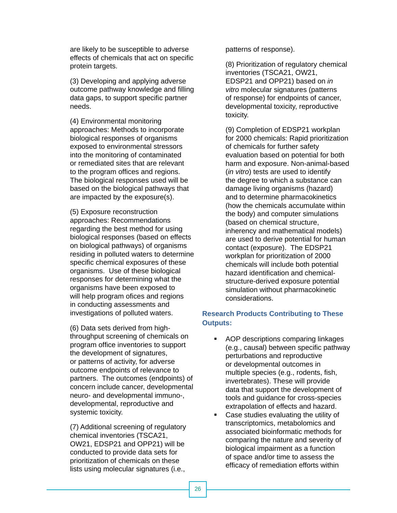are likely to be susceptible to adverse effects of chemicals that act on specific protein targets.

(3) Developing and applying adverse outcome pathway knowledge and filling data gaps, to support specific partner needs.

(4) Environmental monitoring approaches: Methods to incorporate biological responses of organisms exposed to environmental stressors into the monitoring of contaminated or remediated sites that are relevant to the program offices and regions. The biological responses used will be based on the biological pathways that are impacted by the exposure(s).

(5) Exposure reconstruction approaches: Recommendations regarding the best method for using biological responses (based on effects on biological pathways) of organisms residing in polluted waters to determine specific chemical exposures of these organisms. Use of these biological responses for determining what the organisms have been exposed to will help program ofices and regions in conducting assessments and investigations of polluted waters.

(6) Data sets derived from highthroughput screening of chemicals on program office inventories to support the development of signatures, or patterns of activity, for adverse outcome endpoints of relevance to partners. The outcomes (endpoints) of concern include cancer, developmental neuro- and developmental immuno-, developmental, reproductive and systemic toxicity.

(7) Additional screening of regulatory chemical inventories (TSCA21, OW21, EDSP21 and OPP21) will be conducted to provide data sets for prioritization of chemicals on these lists using molecular signatures (i.e.,

patterns of response).

(8) Prioritization of regulatory chemical inventories (TSCA21, OW21, EDSP21 and OPP21) based on *in vitro* molecular signatures (patterns of response) for endpoints of cancer, developmental toxicity, reproductive toxicity.

(9) Completion of EDSP21 workplan for 2000 chemicals: Rapid prioritization of chemicals for further safety evaluation based on potential for both harm and exposure. Non-animal-based (*in vitro*) tests are used to identify the degree to which a substance can damage living organisms (hazard) and to determine pharmacokinetics (how the chemicals accumulate within the body) and computer simulations (based on chemical structure, inherency and mathematical models) are used to derive potential for human contact (exposure). The EDSP21 workplan for prioritization of 2000 chemicals will include both potential hazard identification and chemicalstructure-derived exposure potential simulation without pharmacokinetic considerations.

### **Research Products Contributing to These Outputs:**

- **AOP descriptions comparing linkages** (e.g., causal) between specific pathway perturbations and reproductive or developmental outcomes in multiple species (e.g., rodents, fish, invertebrates). These will provide data that support the development of tools and guidance for cross-species extrapolation of effects and hazard.
- **Case studies evaluating the utility of** transcriptomics, metabolomics and associated bioinformatic methods for comparing the nature and severity of biological impairment as a function of space and/or time to assess the efficacy of remediation efforts within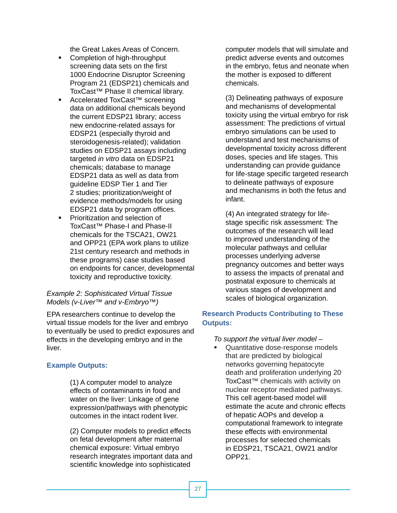the Great Lakes Areas of Concern.

- **Completion of high-throughput** screening data sets on the first 1000 Endocrine Disruptor Screening Program 21 (EDSP21) chemicals and ToxCast*™* Phase II chemical library.
- Accelerated ToxCast*™* screening data on additional chemicals beyond the current EDSP21 library; access new endocrine-related assays for EDSP21 (especially thyroid and steroidogenesis-related); validation studies on EDSP21 assays including targeted *in vitro* data on EDSP21 chemicals; database to manage EDSP21 data as well as data from guideline EDSP Tier 1 and Tier 2 studies; prioritization/weight of evidence methods/models for using EDSP21 data by program offices.
- **Prioritization and selection of** ToxCast*™* Phase-I and Phase-II chemicals for the TSCA21, OW21 and OPP21 (EPA work plans to utilize 21st century research and methods in these programs) case studies based on endpoints for cancer, developmental toxicity and reproductive toxicity.

### *Example 2: Sophisticated Virtual Tissue Models (v-Liver™ and v-Embryo™)*

EPA researchers continue to develop the virtual tissue models for the liver and embryo to eventually be used to predict exposures and effects in the developing embryo and in the liver.

### **Example Outputs:**

(1) A computer model to analyze effects of contaminants in food and water on the liver: Linkage of gene expression/pathways with phenotypic outcomes in the intact rodent liver.

(2) Computer models to predict effects on fetal development after maternal chemical exposure: Virtual embryo research integrates important data and scientific knowledge into sophisticated

computer models that will simulate and predict adverse events and outcomes in the embryo, fetus and neonate when the mother is exposed to different chemicals.

(3) Delineating pathways of exposure and mechanisms of developmental toxicity using the virtual embryo for risk assessment: The predictions of virtual embryo simulations can be used to understand and test mechanisms of developmental toxicity across different doses, species and life stages. This understanding can provide guidance for life-stage specific targeted research to delineate pathways of exposure and mechanisms in both the fetus and infant.

(4) An integrated strategy for lifestage specific risk assessment: The outcomes of the research will lead to improved understanding of the molecular pathways and cellular processes underlying adverse pregnancy outcomes and better ways to assess the impacts of prenatal and postnatal exposure to chemicals at various stages of development and scales of biological organization.

### **Research Products Contributing to These Outputs:**

*To support the virtual liver model –* 

 Quantitative dose-response models that are predicted by biological networks governing hepatocyte death and proliferation underlying 20 ToxCast*™* chemicals with activity on nuclear receptor mediated pathways. This cell agent-based model will estimate the acute and chronic effects of hepatic AOPs and develop a computational framework to integrate these effects with environmental processes for selected chemicals in EDSP21, TSCA21, OW21 and/or OPP21.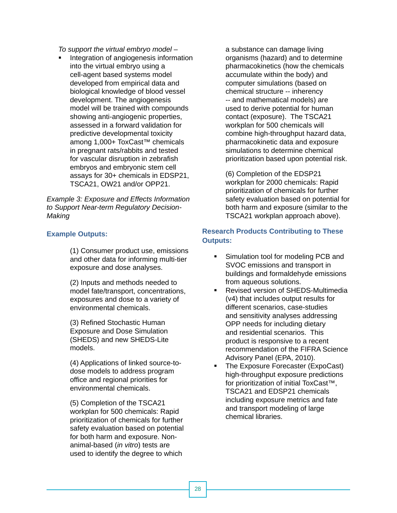*To support the virtual embryo model –* 

**Integration of angiogenesis information** into the virtual embryo using a cell-agent based systems model developed from empirical data and biological knowledge of blood vessel development. The angiogenesis model will be trained with compounds showing anti-angiogenic properties, assessed in a forward validation for predictive developmental toxicity among 1,000+ ToxCast*™* chemicals in pregnant rats/rabbits and tested for vascular disruption in zebrafish embryos and embryonic stem cell assays for 30+ chemicals in EDSP21, TSCA21, OW21 and/or OPP21.

*Example 3: Exposure and Effects Information to Support Near-term Regulatory Decision-Making* 

### **Example Outputs:**

(1) Consumer product use, emissions and other data for informing multi-tier exposure and dose analyses.

(2) Inputs and methods needed to model fate/transport, concentrations, exposures and dose to a variety of environmental chemicals.

(3) Refined Stochastic Human Exposure and Dose Simulation (SHEDS) and new SHEDS-Lite models.

(4) Applications of linked source-todose models to address program office and regional priorities for environmental chemicals.

(5) Completion of the TSCA21 workplan for 500 chemicals: Rapid prioritization of chemicals for further safety evaluation based on potential for both harm and exposure. Nonanimal-based (*in vitro*) tests are used to identify the degree to which

a substance can damage living organisms (hazard) and to determine pharmacokinetics (how the chemicals accumulate within the body) and computer simulations (based on chemical structure -- inherency -- and mathematical models) are used to derive potential for human contact (exposure). The TSCA21 workplan for 500 chemicals will combine high-throughput hazard data, pharmacokinetic data and exposure simulations to determine chemical prioritization based upon potential risk.

(6) Completion of the EDSP21 workplan for 2000 chemicals: Rapid prioritization of chemicals for further safety evaluation based on potential for both harm and exposure (similar to the TSCA21 workplan approach above).

### **Research Products Contributing to These Outputs:**

- **Simulation tool for modeling PCB and** SVOC emissions and transport in buildings and formaldehyde emissions from aqueous solutions.
- **Revised version of SHEDS-Multimedia** (v4) that includes output results for different scenarios, case-studies and sensitivity analyses addressing OPP needs for including dietary and residential scenarios. This product is responsive to a recent recommendation of the FIFRA Science Advisory Panel (EPA, 2010).
- The Exposure Forecaster (ExpoCast) high-throughput exposure predictions for prioritization of initial ToxCast*™*, TSCA21 and EDSP21 chemicals including exposure metrics and fate and transport modeling of large chemical libraries.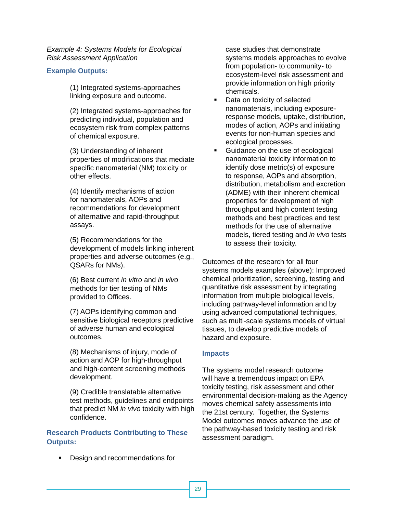*Example 4: Systems Models for Ecological Risk Assessment Application* 

### **Example Outputs:**

(1) Integrated systems-approaches linking exposure and outcome.

(2) Integrated systems-approaches for predicting individual, population and ecosystem risk from complex patterns of chemical exposure.

(3) Understanding of inherent properties of modifications that mediate specific nanomaterial (NM) toxicity or other effects.

(4) Identify mechanisms of action for nanomaterials, AOPs and recommendations for development of alternative and rapid-throughput assays.

(5) Recommendations for the development of models linking inherent properties and adverse outcomes (e.g., QSARs for NMs).

(6) Best current *in vitro* and *in vivo*  methods for tier testing of NMs provided to Offices.

(7) AOPs identifying common and sensitive biological receptors predictive of adverse human and ecological outcomes.

(8) Mechanisms of injury, mode of action and AOP for high-throughput and high-content screening methods development.

(9) Credible translatable alternative test methods, guidelines and endpoints that predict NM *in vivo* toxicity with high confidence.

### **Research Products Contributing to These Outputs:**

**Design and recommendations for** 

case studies that demonstrate systems models approaches to evolve from population- to community- to ecosystem-level risk assessment and provide information on high priority chemicals.

- Data on toxicity of selected nanomaterials, including exposureresponse models, uptake, distribution, modes of action, AOPs and initiating events for non-human species and ecological processes.
- **Guidance on the use of ecological** nanomaterial toxicity information to identify dose metric(s) of exposure to response, AOPs and absorption, distribution, metabolism and excretion (ADME) with their inherent chemical properties for development of high throughput and high content testing methods and best practices and test methods for the use of alternative models, tiered testing and *in vivo* tests to assess their toxicity.

Outcomes of the research for all four systems models examples (above): Improved chemical prioritization, screening, testing and quantitative risk assessment by integrating information from multiple biological levels, including pathway-level information and by using advanced computational techniques, such as multi-scale systems models of virtual tissues, to develop predictive models of hazard and exposure.

### **Impacts**

The systems model research outcome will have a tremendous impact on EPA toxicity testing, risk assessment and other environmental decision-making as the Agency moves chemical safety assessments into the 21st century. Together, the Systems Model outcomes moves advance the use of the pathway-based toxicity testing and risk assessment paradigm.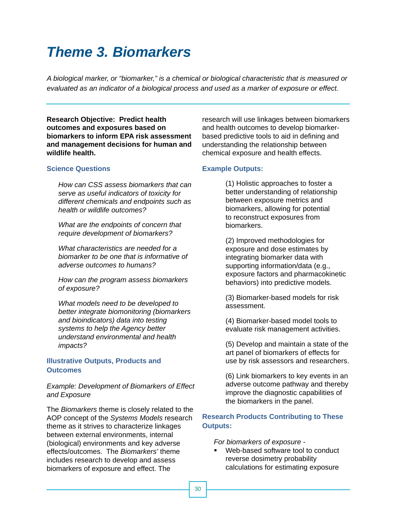## *Theme 3. Biomarkers*

*A biological marker, or "biomarker," is a chemical or biological characteristic that is measured or evaluated as an indicator of a biological process and used as a marker of exposure or effect.* 

**Research Objective: Predict health outcomes and exposures based on biomarkers to inform EPA risk assessment and management decisions for human and wildlife health.** 

### **Science Questions**

*How can CSS assess biomarkers that can serve as useful indicators of toxicity for different chemicals and endpoints such as health or wildlife outcomes?* 

*What are the endpoints of concern that require development of biomarkers?* 

*What characteristics are needed for a biomarker to be one that is informative of adverse outcomes to humans?* 

*How can the program assess biomarkers of exposure?* 

*What models need to be developed to better integrate biomonitoring (biomarkers and bioindicators) data into testing systems to help the Agency better understand environmental and health impacts?* 

### **Illustrative Outputs, Products and Outcomes**

*Example: Development of Biomarkers of Effect and Exposure* 

The *Biomarkers* theme is closely related to the AOP concept of the *Systems Models* research theme as it strives to characterize linkages between external environments, internal (biological) environments and key adverse effects/outcomes. The *Biomarkers'* theme includes research to develop and assess biomarkers of exposure and effect. The

research will use linkages between biomarkers and health outcomes to develop biomarkerbased predictive tools to aid in defining and understanding the relationship between chemical exposure and health effects.

### **Example Outputs:**

(1) Holistic approaches to foster a better understanding of relationship between exposure metrics and biomarkers, allowing for potential to reconstruct exposures from biomarkers.

(2) Improved methodologies for exposure and dose estimates by integrating biomarker data with supporting information/data (e.g., exposure factors and pharmacokinetic behaviors) into predictive models.

(3) Biomarker-based models for risk assessment.

(4) Biomarker-based model tools to evaluate risk management activities.

(5) Develop and maintain a state of the art panel of biomarkers of effects for use by risk assessors and researchers.

(6) Link biomarkers to key events in an adverse outcome pathway and thereby improve the diagnostic capabilities of the biomarkers in the panel.

### **Research Products Contributing to These Outputs:**

*For biomarkers of exposure -*

 Web-based software tool to conduct reverse dosimetry probability calculations for estimating exposure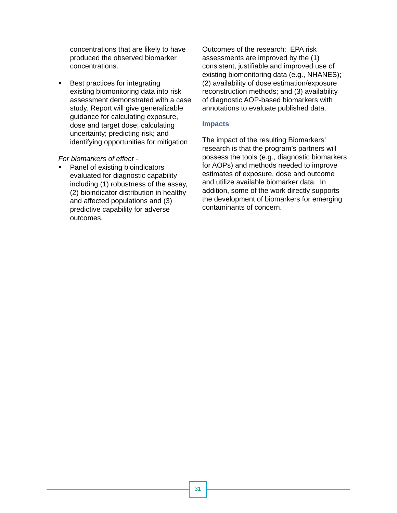concentrations that are likely to have produced the observed biomarker concentrations.

■ Best practices for integrating existing biomonitoring data into risk assessment demonstrated with a case study. Report will give generalizable guidance for calculating exposure, dose and target dose; calculating uncertainty; predicting risk; and identifying opportunities for mitigation

### *For biomarkers of effect -*

• Panel of existing bioindicators evaluated for diagnostic capability including (1) robustness of the assay, (2) bioindicator distribution in healthy and affected populations and (3) predictive capability for adverse outcomes.

Outcomes of the research: EPA risk assessments are improved by the (1) consistent, justifiable and improved use of existing biomonitoring data (e.g., NHANES); (2) availability of dose estimation/exposure reconstruction methods; and (3) availability of diagnostic AOP-based biomarkers with annotations to evaluate published data.

### **Impacts**

The impact of the resulting Biomarkers' research is that the program's partners will possess the tools (e.g., diagnostic biomarkers for AOPs) and methods needed to improve estimates of exposure, dose and outcome and utilize available biomarker data. In addition, some of the work directly supports the development of biomarkers for emerging contaminants of concern.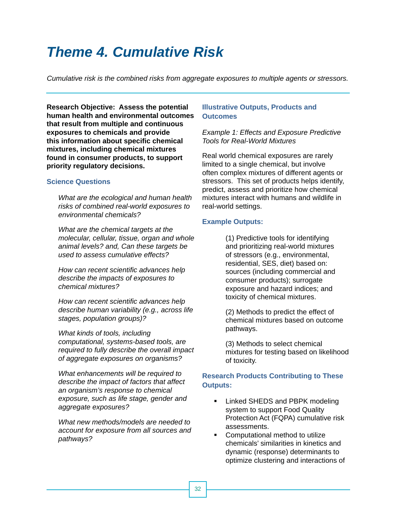## *Theme 4. Cumulative Risk*

*Cumulative risk is the combined risks from aggregate exposures to multiple agents or stressors.* 

**Research Objective: Assess the potential Illustrative Outputs, Products and human health and environmental outcomes Outcomes that result from multiple and continuous exposures to chemicals and provide this information about specifi c chemical mixtures, including chemical mixtures found in consumer products, to support priority regulatory decisions.** 

### **Science Questions**

*What are the ecological and human health risks of combined real-world exposures to environmental chemicals?* 

*What are the chemical targets at the molecular, cellular, tissue, organ and whole animal levels? and, Can these targets be used to assess cumulative effects?* 

*How can recent scientific advances help describe the impacts of exposures to chemical mixtures?* 

*How can recent scientific advances help describe human variability (e.g., across life stages, population groups)?* 

*What kinds of tools, including computational, systems-based tools, are required to fully describe the overall impact of aggregate exposures on organisms?* 

*What enhancements will be required to describe the impact of factors that affect an organism's response to chemical exposure, such as life stage, gender and aggregate exposures?* 

*What new methods/models are needed to account for exposure from all sources and pathways?* 

*Example 1: Effects and Exposure Predictive Tools for Real-World Mixtures* 

Real world chemical exposures are rarely limited to a single chemical, but involve often complex mixtures of different agents or stressors. This set of products helps identify, predict, assess and prioritize how chemical mixtures interact with humans and wildlife in real-world settings.

### **Example Outputs:**

(1) Predictive tools for identifying and prioritizing real-world mixtures of stressors (e.g., environmental, residential, SES, diet) based on: sources (including commercial and consumer products); surrogate exposure and hazard indices; and toxicity of chemical mixtures.

(2) Methods to predict the effect of chemical mixtures based on outcome pathways.

(3) Methods to select chemical mixtures for testing based on likelihood of toxicity.

### **Research Products Contributing to These Outputs:**

- **EXECUTE:** Linked SHEDS and PBPK modeling system to support Food Quality Protection Act (FQPA) cumulative risk assessments.
- **•** Computational method to utilize chemicals' similarities in kinetics and dynamic (response) determinants to optimize clustering and interactions of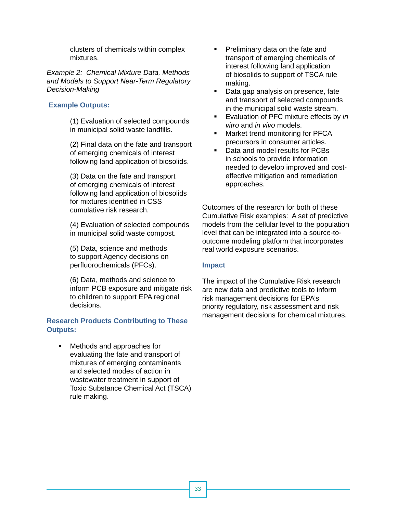clusters of chemicals within complex mixtures.

*Example 2: Chemical Mixture Data, Methods and Models to Support Near-Term Regulatory Decision-Making* 

### **Example Outputs:**

(1) Evaluation of selected compounds in municipal solid waste landfills.

(2) Final data on the fate and transport of emerging chemicals of interest following land application of biosolids.

(3) Data on the fate and transport of emerging chemicals of interest following land application of biosolids for mixtures identified in CSS cumulative risk research.

(4) Evaluation of selected compounds in municipal solid waste compost.

(5) Data, science and methods to support Agency decisions on perfluorochemicals (PFCs).

(6) Data, methods and science to inform PCB exposure and mitigate risk to children to support EPA regional decisions.

### **Research Products Contributing to These Outputs:**

 Methods and approaches for evaluating the fate and transport of mixtures of emerging contaminants and selected modes of action in wastewater treatment in support of Toxic Substance Chemical Act (TSCA) rule making.

- **Preliminary data on the fate and** transport of emerging chemicals of interest following land application of biosolids to support of TSCA rule making.
- Data gap analysis on presence, fate and transport of selected compounds in the municipal solid waste stream.
- Evaluation of PFC mixture effects by *in vitro* and *in vivo* models.
- **Narket trend monitoring for PFCA** precursors in consumer articles.
- Data and model results for PCBs in schools to provide information needed to develop improved and costeffective mitigation and remediation approaches.

Outcomes of the research for both of these Cumulative Risk examples: A set of predictive models from the cellular level to the population level that can be integrated into a source-tooutcome modeling platform that incorporates real world exposure scenarios.

### **Impact**

The impact of the Cumulative Risk research are new data and predictive tools to inform risk management decisions for EPA's priority regulatory, risk assessment and risk management decisions for chemical mixtures.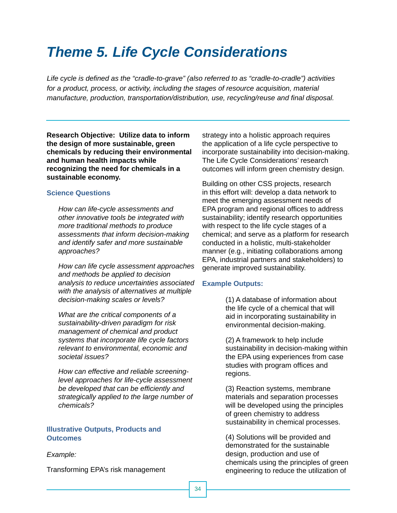## *Theme 5. Life Cycle Considerations*

*Life cycle is defined as the "cradle-to-grave" (also referred to as "cradle-to-cradle") activities for a product, process, or activity, including the stages of resource acquisition, material manufacture, production, transportation/distribution, use, recycling/reuse and final disposal.* 

**Research Objective: Utilize data to inform the design of more sustainable, green chemicals by reducing their environmental and human health impacts while recognizing the need for chemicals in a sustainable economy.** 

### **Science Questions**

*How can life-cycle assessments and other innovative tools be integrated with more traditional methods to produce assessments that inform decision-making and identify safer and more sustainable approaches?* 

*How can life cycle assessment approaches and methods be applied to decision analysis to reduce uncertainties associated with the analysis of alternatives at multiple decision-making scales or levels?* 

*What are the critical components of a sustainability-driven paradigm for risk management of chemical and product systems that incorporate life cycle factors relevant to environmental, economic and societal issues?* 

*How can effective and reliable screeninglevel approaches for life-cycle assessment be developed that can be effi ciently and strategically applied to the large number of chemicals?* 

### **Illustrative Outputs, Products and Outcomes**

 incorporate sustainability into decision-making. strategy into a holistic approach requires the application of a life cycle perspective to The Life Cycle Considerations' research outcomes will inform green chemistry design.

Building on other CSS projects, research in this effort will: develop a data network to meet the emerging assessment needs of EPA program and regional offices to address sustainability; identify research opportunities with respect to the life cycle stages of a chemical; and serve as a platform for research conducted in a holistic, multi-stakeholder manner (e.g., initiating collaborations among EPA, industrial partners and stakeholders) to generate improved sustainability.

### **Example Outputs:**

(1) A database of information about the life cycle of a chemical that will aid in incorporating sustainability in environmental decision-making.

(2) A framework to help include sustainability in decision-making within the EPA using experiences from case studies with program offices and regions.

(3) Reaction systems, membrane materials and separation processes will be developed using the principles of green chemistry to address sustainability in chemical processes.

(4) Solutions will be provided and demonstrated for the sustainable **Example: Example: design, production and use of** chemicals using the principles of green Transforming EPA's risk management engineering to reduce the utilization of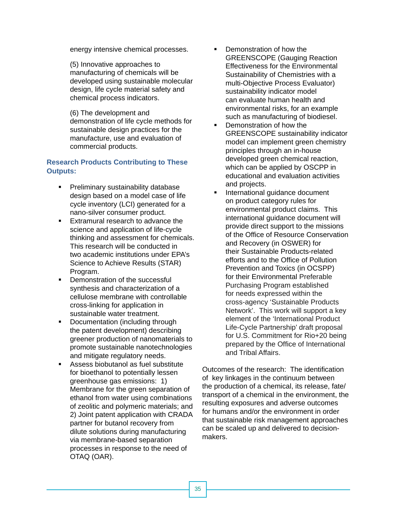energy intensive chemical processes.

(5) Innovative approaches to manufacturing of chemicals will be developed using sustainable molecular design, life cycle material safety and chemical process indicators.

(6) The development and demonstration of life cycle methods for sustainable design practices for the manufacture, use and evaluation of commercial products.

### **Research Products Contributing to These Outputs:**

- **Preliminary sustainability database** design based on a model case of life cycle inventory (LCI) generated for a nano-silver consumer product.
- **Extramural research to advance the** science and application of life-cycle thinking and assessment for chemicals. This research will be conducted in two academic institutions under EPA's Science to Achieve Results (STAR) Program.
- **Demonstration of the successful** synthesis and characterization of a cellulose membrane with controllable cross-linking for application in sustainable water treatment.
- **Documentation (including through** the patent development) describing greener production of nanomaterials to promote sustainable nanotechnologies and mitigate regulatory needs.
- Assess biobutanol as fuel substitute for bioethanol to potentially lessen greenhouse gas emissions: 1) Membrane for the green separation of ethanol from water using combinations of zeolitic and polymeric materials; and 2) Joint patent application with CRADA partner for butanol recovery from dilute solutions during manufacturing via membrane-based separation processes in response to the need of OTAQ (OAR).
- Demonstration of how the GREENSCOPE (Gauging Reaction Effectiveness for the Environmental Sustainability of Chemistries with a multi-Objective Process Evaluator) sustainability indicator model can evaluate human health and environmental risks, for an example such as manufacturing of biodiesel.
- Demonstration of how the GREENSCOPE sustainability indicator model can implement green chemistry principles through an in-house developed green chemical reaction, which can be applied by OSCPP in educational and evaluation activities and projects.
- **International guidance document** on product category rules for environmental product claims. This international guidance document will provide direct support to the missions of the Office of Resource Conservation and Recovery (in OSWER) for their Sustainable Products-related efforts and to the Office of Pollution Prevention and Toxics (in OCSPP) for their Environmental Preferable Purchasing Program established for needs expressed within the cross-agency 'Sustainable Products Network'. This work will support a key element of the 'International Product Life-Cycle Partnership' draft proposal for U.S. Commitment for Rio+20 being prepared by the Office of International and Tribal Affairs.

Outcomes of the research: The identification of key linkages in the continuum between the production of a chemical, its release, fate/ transport of a chemical in the environment, the resulting exposures and adverse outcomes for humans and/or the environment in order that sustainable risk management approaches can be scaled up and delivered to decisionmakers.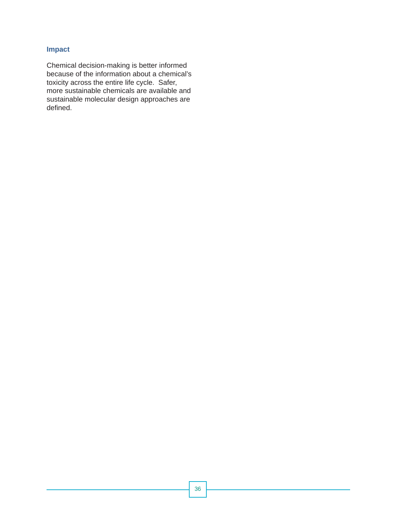### **Impact**

Chemical decision-making is better informed because of the information about a chemical's toxicity across the entire life cycle. Safer, more sustainable chemicals are available and sustainable molecular design approaches are defined.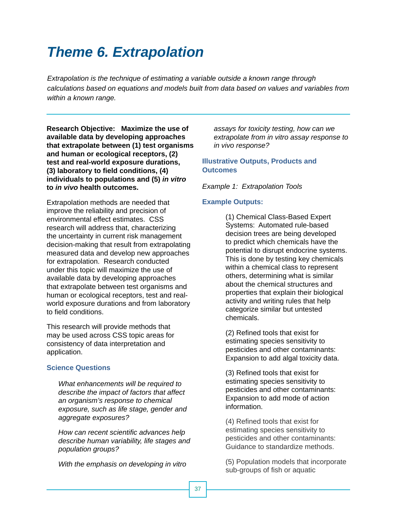## *Theme 6. Extrapolation*

*Extrapolation is the technique of estimating a variable outside a known range through calculations based on equations and models built from data based on values and variables from within a known range.* 

**Research Objective: Maximize the use of available data by developing approaches that extrapolate between (1) test organisms and human or ecological receptors, (2) test and real-world exposure durations, (3) laboratory to field conditions, (4) individuals to populations and (5)** *in vitro*  **to** *in vivo* **health outcomes.** 

Extrapolation methods are needed that improve the reliability and precision of environmental effect estimates. CSS research will address that, characterizing the uncertainty in current risk management decision-making that result from extrapolating measured data and develop new approaches for extrapolation. Research conducted under this topic will maximize the use of available data by developing approaches that extrapolate between test organisms and human or ecological receptors, test and realworld exposure durations and from laboratory to field conditions.

This research will provide methods that may be used across CSS topic areas for consistency of data interpretation and application.

### **Science Questions**

*What enhancements will be required to describe the impact of factors that affect an organism's response to chemical exposure, such as life stage, gender and aggregate exposures?* 

*How can recent scientific advances help describe human variability, life stages and population groups?* 

*assays for toxicity testing, how can we extrapolate from in vitro assay response to in vivo response?* 

### **Illustrative Outputs, Products and Outcomes**

*Example 1: Extrapolation Tools* 

### **Example Outputs:**

(1) Chemical Class-Based Expert Systems: Automated rule-based decision trees are being developed to predict which chemicals have the potential to disrupt endocrine systems. This is done by testing key chemicals within a chemical class to represent others, determining what is similar about the chemical structures and properties that explain their biological activity and writing rules that help categorize similar but untested chemicals.

(2) Refined tools that exist for estimating species sensitivity to pesticides and other contaminants: Expansion to add algal toxicity data.

(3) Refined tools that exist for estimating species sensitivity to pesticides and other contaminants: Expansion to add mode of action information.

(4) Refined tools that exist for estimating species sensitivity to pesticides and other contaminants: Guidance to standardize methods.

*With the emphasis on developing in vitro* (5) Population models that incorporate sub-groups of fish or aquatic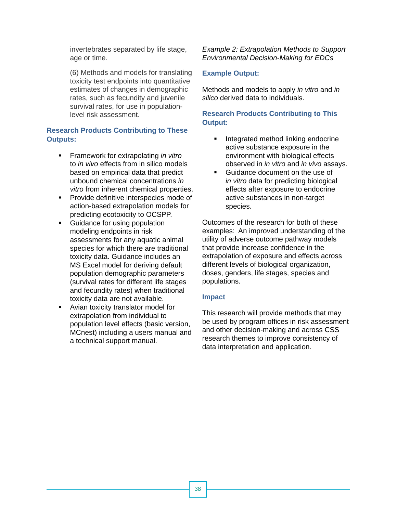invertebrates separated by life stage, age or time.

(6) Methods and models for translating toxicity test endpoints into quantitative estimates of changes in demographic rates, such as fecundity and juvenile survival rates, for use in populationlevel risk assessment.

### **Research Products Contributing to These Outputs:**

- Framework for extrapolating *in vitro*  to *in vivo* effects from in silico models based on empirical data that predict unbound chemical concentrations *in vitro* from inherent chemical properties.
- **Provide definitive interspecies mode of** action-based extrapolation models for predicting ecotoxicity to OCSPP.
- Guidance for using population modeling endpoints in risk assessments for any aquatic animal species for which there are traditional toxicity data. Guidance includes an MS Excel model for deriving default population demographic parameters (survival rates for different life stages and fecundity rates) when traditional toxicity data are not available.
- Avian toxicity translator model for extrapolation from individual to population level effects (basic version, MCnest) including a users manual and a technical support manual.

*Example 2: Extrapolation Methods to Support Environmental Decision-Making for EDCs* 

### **Example Output:**

Methods and models to apply *in vitro* and *in silico* derived data to individuals.

### **Research Products Contributing to This Output:**

- **Integrated method linking endocrine** active substance exposure in the environment with biological effects observed in *in vitro* and *in vivo* assays.
- Guidance document on the use of *in vitro* data for predicting biological effects after exposure to endocrine active substances in non-target species.

Outcomes of the research for both of these examples: An improved understanding of the utility of adverse outcome pathway models that provide increase confidence in the extrapolation of exposure and effects across different levels of biological organization, doses, genders, life stages, species and populations.

### **Impact**

This research will provide methods that may be used by program offices in risk assessment and other decision-making and across CSS research themes to improve consistency of data interpretation and application.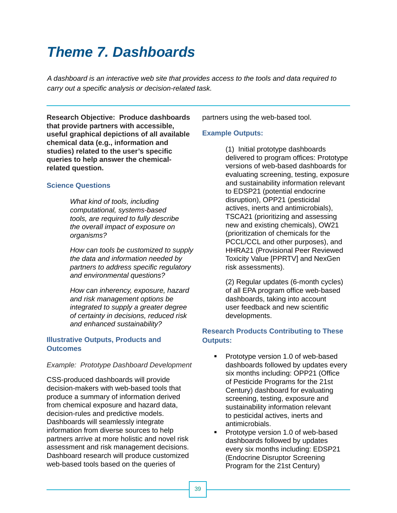## *Theme 7. Dashboards*

*A dashboard is an interactive web site that provides access to the tools and data required to carry out a specific analysis or decision-related task.* 

**Research Objective: Produce dashboards that provide partners with accessible, useful graphical depictions of all available chemical data (e.g., information and studies) related to the user's specific queries to help answer the chemicalrelated question.** 

### **Science Questions**

*What kind of tools, including computational, systems-based tools, are required to fully describe the overall impact of exposure on organisms?* 

*How can tools be customized to supply the data and information needed by partners to address specifi c regulatory and environmental questions?* 

*How can inherency, exposure, hazard and risk management options be integrated to supply a greater degree of certainty in decisions, reduced risk and enhanced sustainability?* 

### **Illustrative Outputs, Products and Outcomes**

### *Example: Prototype Dashboard Development*

CSS-produced dashboards will provide decision-makers with web-based tools that produce a summary of information derived from chemical exposure and hazard data, decision-rules and predictive models. Dashboards will seamlessly integrate information from diverse sources to help partners arrive at more holistic and novel risk assessment and risk management decisions. Dashboard research will produce customized web-based tools based on the queries of

partners using the web-based tool.

### **Example Outputs:**

(1) Initial prototype dashboards delivered to program offices: Prototype versions of web-based dashboards for evaluating screening, testing, exposure and sustainability information relevant to EDSP21 (potential endocrine disruption), OPP21 (pesticidal actives, inerts and antimicrobials), TSCA21 (prioritizing and assessing new and existing chemicals), OW21 (prioritization of chemicals for the PCCL/CCL and other purposes), and HHRA21 (Provisional Peer Reviewed Toxicity Value [PPRTV] and NexGen risk assessments).

(2) Regular updates (6-month cycles) of all EPA program office web-based dashboards, taking into account user feedback and new scientific developments.

### **Research Products Contributing to These Outputs:**

- **Prototype version 1.0 of web-based** dashboards followed by updates every six months including: OPP21 (Office of Pesticide Programs for the 21st Century) dashboard for evaluating screening, testing, exposure and sustainability information relevant to pesticidal actives, inerts and antimicrobials.
- **Prototype version 1.0 of web-based** dashboards followed by updates every six months including: EDSP21 (Endocrine Disruptor Screening Program for the 21st Century)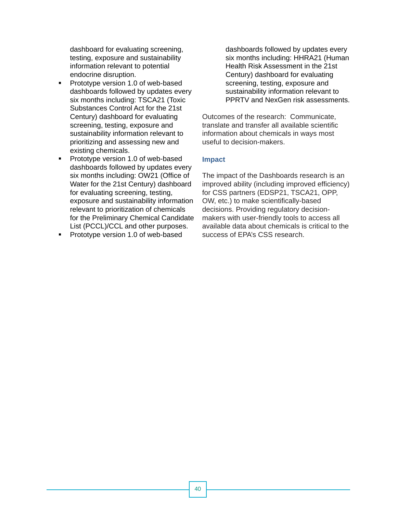dashboard for evaluating screening, testing, exposure and sustainability information relevant to potential endocrine disruption.

- Prototype version 1.0 of web-based dashboards followed by updates every six months including: TSCA21 (Toxic Substances Control Act for the 21st Century) dashboard for evaluating screening, testing, exposure and sustainability information relevant to prioritizing and assessing new and existing chemicals.
- **Prototype version 1.0 of web-based** dashboards followed by updates every six months including: OW21 (Office of Water for the 21st Century) dashboard for evaluating screening, testing, exposure and sustainability information relevant to prioritization of chemicals for the Preliminary Chemical Candidate List (PCCL)/CCL and other purposes.
- **Prototype version 1.0 of web-based**

dashboards followed by updates every six months including: HHRA21 (Human Health Risk Assessment in the 21st Century) dashboard for evaluating screening, testing, exposure and sustainability information relevant to PPRTV and NexGen risk assessments.

Outcomes of the research: Communicate, translate and transfer all available scientific information about chemicals in ways most useful to decision-makers.

### **Impact**

The impact of the Dashboards research is an improved ability (including improved efficiency) for CSS partners (EDSP21, TSCA21, OPP, OW, etc.) to make scientifically-based decisions. Providing regulatory decisionmakers with user-friendly tools to access all available data about chemicals is critical to the success of EPA's CSS research.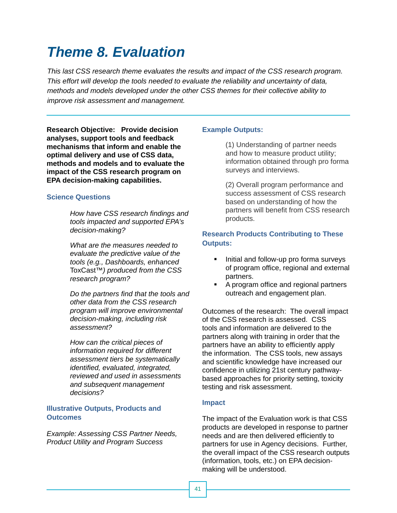## *Theme 8. Evaluation*

*This last CSS research theme evaluates the results and impact of the CSS research program. This effort will develop the tools needed to evaluate the reliability and uncertainty of data, methods and models developed under the other CSS themes for their collective ability to improve risk assessment and management.* 

**Research Objective: Provide decision analyses, support tools and feedback mechanisms that inform and enable the optimal delivery and use of CSS data, methods and models and to evaluate the impact of the CSS research program on EPA decision-making capabilities.** 

### **Science Questions**

**How have CSS research findings and** *tools impacted and supported EPA's decision-making?* 

*What are the measures needed to evaluate the predictive value of the tools (e.g., Dashboards, enhanced*  ToxCast*™) produced from the CSS research program?* 

*Do the partners find that the tools and other data from the CSS research program will improve environmental decision-making, including risk assessment?* 

*How can the critical pieces of information required for different assessment tiers be systematically identified, evaluated, integrated, reviewed and used in assessments and subsequent management decisions?* 

### **Illustrative Outputs, Products and Outcomes**

*Example: Assessing CSS Partner Needs, Product Utility and Program Success* 

### **Example Outputs:**

(1) Understanding of partner needs and how to measure product utility; information obtained through pro forma surveys and interviews.

(2) Overall program performance and success assessment of CSS research based on understanding of how the partners will benefit from CSS research products.

### **Research Products Contributing to These Outputs:**

- Initial and follow-up pro forma surveys of program office, regional and external partners.
- A program office and regional partners outreach and engagement plan.

Outcomes of the research: The overall impact of the CSS research is assessed. CSS tools and information are delivered to the partners along with training in order that the partners have an ability to efficiently apply the information. The CSS tools, new assays and scientific knowledge have increased our confidence in utilizing 21st century pathwaybased approaches for priority setting, toxicity testing and risk assessment.

### **Impact**

The impact of the Evaluation work is that CSS products are developed in response to partner needs and are then delivered efficiently to partners for use in Agency decisions. Further, the overall impact of the CSS research outputs (information, tools, etc.) on EPA decisionmaking will be understood.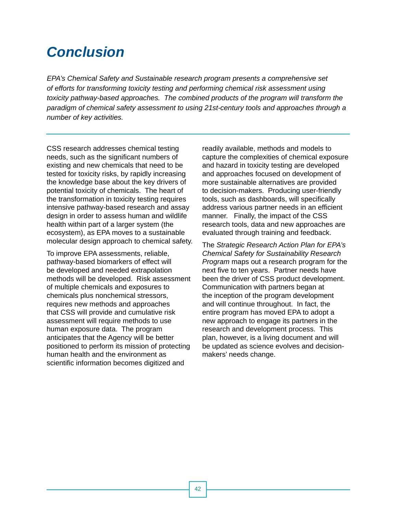## *Conclusion*

*EPA's Chemical Safety and Sustainable research program presents a comprehensive set of efforts for transforming toxicity testing and performing chemical risk assessment using toxicity pathway-based approaches. The combined products of the program will transform the paradigm of chemical safety assessment to using 21st-century tools and approaches through a number of key activities.* 

CSS research addresses chemical testing needs, such as the significant numbers of existing and new chemicals that need to be tested for toxicity risks, by rapidly increasing the knowledge base about the key drivers of potential toxicity of chemicals. The heart of the transformation in toxicity testing requires intensive pathway-based research and assay design in order to assess human and wildlife health within part of a larger system (the ecosystem), as EPA moves to a sustainable molecular design approach to chemical safety.

To improve EPA assessments, reliable, pathway-based biomarkers of effect will be developed and needed extrapolation methods will be developed. Risk assessment of multiple chemicals and exposures to chemicals plus nonchemical stressors, requires new methods and approaches that CSS will provide and cumulative risk assessment will require methods to use human exposure data. The program anticipates that the Agency will be better positioned to perform its mission of protecting human health and the environment as scientific information becomes digitized and

readily available, methods and models to capture the complexities of chemical exposure and hazard in toxicity testing are developed and approaches focused on development of more sustainable alternatives are provided to decision-makers. Producing user-friendly tools, such as dashboards, will specifically address various partner needs in an efficient manner. Finally, the impact of the CSS research tools, data and new approaches are evaluated through training and feedback.

The *Strategic Research Action Plan for EPA's Chemical Safety for Sustainability Research Program* maps out a research program for the next five to ten years. Partner needs have been the driver of CSS product development. Communication with partners began at the inception of the program development and will continue throughout. In fact, the entire program has moved EPA to adopt a new approach to engage its partners in the research and development process. This plan, however, is a living document and will be updated as science evolves and decisionmakers' needs change.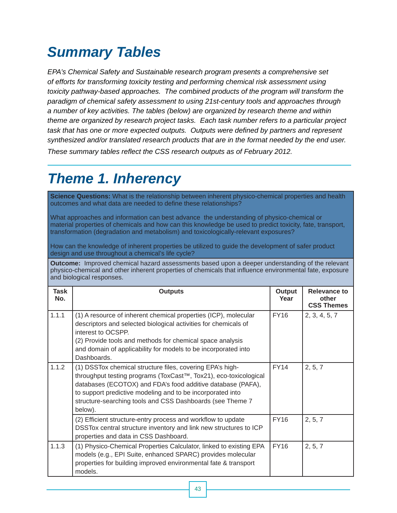## *Summary Tables*

*EPA's Chemical Safety and Sustainable research program presents a comprehensive set of efforts for transforming toxicity testing and performing chemical risk assessment using toxicity pathway-based approaches. The combined products of the program will transform the paradigm of chemical safety assessment to using 21st-century tools and approaches through a number of key activities. The tables (below) are organized by research theme and within theme are organized by research project tasks. Each task number refers to a particular project task that has one or more expected outputs. Outputs were defined by partners and represent synthesized and/or translated research products that are in the format needed by the end user. These summary tables reflect the CSS research outputs as of February 2012.* 

## *Theme 1. Inherency*

**Science Questions:** What is the relationship between inherent physico-chemical properties and health outcomes and what data are needed to define these relationships?

What approaches and information can best advance the understanding of physico-chemical or material properties of chemicals and how can this knowledge be used to predict toxicity, fate, transport, transformation (degradation and metabolism) and toxicologically-relevant exposures?

How can the knowledge of inherent properties be utilized to guide the development of safer product design and use throughout a chemical's life cycle?

**Outcome:** Improved chemical hazard assessments based upon a deeper understanding of the relevant physico-chemical and other inherent properties of chemicals that influence environmental fate, exposure and biological responses.

| Task<br>No. | <b>Outputs</b>                                                                                                                                                                                                                                                                                                                     | Output<br>Year | Relevance to<br>other<br><b>CSS Themes</b> |
|-------------|------------------------------------------------------------------------------------------------------------------------------------------------------------------------------------------------------------------------------------------------------------------------------------------------------------------------------------|----------------|--------------------------------------------|
| 1.1.1       | (1) A resource of inherent chemical properties (ICP), molecular<br>descriptors and selected biological activities for chemicals of<br>interest to OCSPP.<br>(2) Provide tools and methods for chemical space analysis<br>and domain of applicability for models to be incorporated into<br>Dashboards.                             | <b>FY16</b>    | 2, 3, 4, 5, 7                              |
| 1.1.2       | (1) DSSTox chemical structure files, covering EPA's high-<br>throughput testing programs (ToxCast™, Tox21), eco-toxicological<br>databases (ECOTOX) and FDA's food additive database (PAFA),<br>to support predictive modeling and to be incorporated into<br>structure-searching tools and CSS Dashboards (see Theme 7<br>below). | <b>FY14</b>    | 2, 5, 7                                    |
|             | (2) Efficient structure-entry process and workflow to update<br>DSSTox central structure inventory and link new structures to ICP<br>properties and data in CSS Dashboard.                                                                                                                                                         | <b>FY16</b>    | 2, 5, 7                                    |
| 1.1.3       | (1) Physico-Chemical Properties Calculator, linked to existing EPA<br>models (e.g., EPI Suite, enhanced SPARC) provides molecular<br>properties for building improved environmental fate & transport<br>models.                                                                                                                    | <b>FY16</b>    | 2, 5, 7                                    |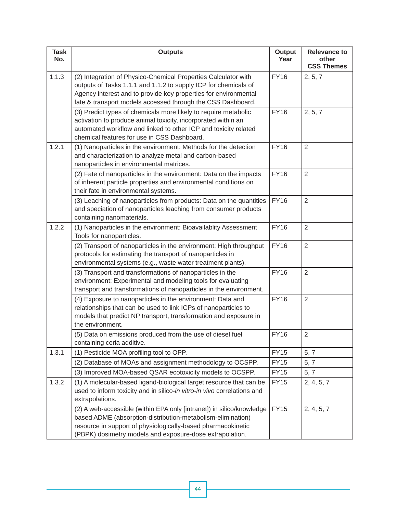| <b>Task</b><br>No. | <b>Outputs</b>                                                                                                                                                                                                                                                      | <b>Output</b><br>Year | <b>Relevance to</b><br>other<br><b>CSS Themes</b> |
|--------------------|---------------------------------------------------------------------------------------------------------------------------------------------------------------------------------------------------------------------------------------------------------------------|-----------------------|---------------------------------------------------|
| 1.1.3              | (2) Integration of Physico-Chemical Properties Calculator with<br>outputs of Tasks 1.1.1 and 1.1.2 to supply ICP for chemicals of<br>Agency interest and to provide key properties for environmental<br>fate & transport models accessed through the CSS Dashboard. | <b>FY16</b>           | 2, 5, 7                                           |
|                    | (3) Predict types of chemicals more likely to require metabolic<br>activation to produce animal toxicity, incorporated within an<br>automated workflow and linked to other ICP and toxicity related<br>chemical features for use in CSS Dashboard.                  | <b>FY16</b>           | 2, 5, 7                                           |
| 1.2.1              | (1) Nanoparticles in the environment: Methods for the detection<br>and characterization to analyze metal and carbon-based<br>nanoparticles in environmental matrices.                                                                                               | <b>FY16</b>           | $\overline{2}$                                    |
|                    | (2) Fate of nanoparticles in the environment: Data on the impacts<br>of inherent particle properties and environmental conditions on<br>their fate in environmental systems.                                                                                        | <b>FY16</b>           | $\overline{2}$                                    |
|                    | (3) Leaching of nanoparticles from products: Data on the quantities<br>and speciation of nanoparticles leaching from consumer products<br>containing nanomaterials.                                                                                                 | <b>FY16</b>           | $\overline{2}$                                    |
| 1.2.2              | (1) Nanoparticles in the environment: Bioavailablity Assessment<br>Tools for nanoparticles.                                                                                                                                                                         | <b>FY16</b>           | $\overline{2}$                                    |
|                    | (2) Transport of nanoparticles in the environment: High throughput<br>protocols for estimating the transport of nanoparticles in<br>environmental systems (e.g., waste water treatment plants).                                                                     | <b>FY16</b>           | $\overline{2}$                                    |
|                    | (3) Transport and transformations of nanoparticles in the<br>environment: Experimental and modeling tools for evaluating<br>transport and transformations of nanoparticles in the environment.                                                                      | <b>FY16</b>           | $\overline{2}$                                    |
|                    | (4) Exposure to nanoparticles in the environment: Data and<br>relationships that can be used to link ICPs of nanoparticles to<br>models that predict NP transport, transformation and exposure in<br>the environment.                                               | <b>FY16</b>           | $\overline{2}$                                    |
|                    | (5) Data on emissions produced from the use of diesel fuel<br>containing ceria additive.                                                                                                                                                                            | <b>FY16</b>           | $\overline{2}$                                    |
| 1.3.1              | (1) Pesticide MOA profiling tool to OPP.                                                                                                                                                                                                                            | <b>FY15</b>           | 5, 7                                              |
|                    | (2) Database of MOAs and assignment methodology to OCSPP.                                                                                                                                                                                                           | <b>FY15</b>           | 5, 7                                              |
|                    | (3) Improved MOA-based QSAR ecotoxicity models to OCSPP.                                                                                                                                                                                                            | <b>FY15</b>           | 5, 7                                              |
| 1.3.2              | (1) A molecular-based ligand-biological target resource that can be<br>used to inform toxicity and in silico-in vitro-in vivo correlations and<br>extrapolations.                                                                                                   | <b>FY15</b>           | 2, 4, 5, 7                                        |
|                    | (2) A web-accessible (within EPA only [intranet]) in silico/knowledge<br>based ADME (absorption-distribution-metabolism-elimination)<br>resource in support of physiologically-based pharmacokinetic<br>(PBPK) dosimetry models and exposure-dose extrapolation.    | <b>FY15</b>           | 2, 4, 5, 7                                        |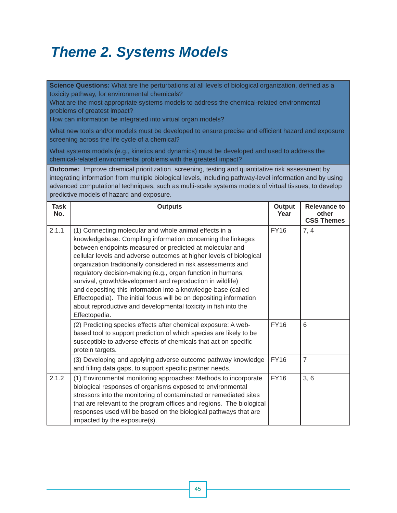## *Theme 2. Systems Models*

**Science Questions:** What are the perturbations at all levels of biological organization, defined as a toxicity pathway, for environmental chemicals?

What are the most appropriate systems models to address the chemical-related environmental problems of greatest impact?

How can information be integrated into virtual organ models?

What new tools and/or models must be developed to ensure precise and efficient hazard and exposure screening across the life cycle of a chemical?

What systems models (e.g., kinetics and dynamics) must be developed and used to address the chemical-related environmental problems with the greatest impact?

**Outcome:** Improve chemical prioritization, screening, testing and quantitative risk assessment by integrating information from multiple biological levels, including pathway-level information and by using advanced computational techniques, such as multi-scale systems models of virtual tissues, to develop predictive models of hazard and exposure.

| <b>Task</b><br>No. | <b>Outputs</b>                                                                                                                                                                                                                                                                                                                                                                                                                                                                                                                                                                                                                                                                    | Output<br>Year | <b>Relevance to</b><br>other<br><b>CSS Themes</b> |
|--------------------|-----------------------------------------------------------------------------------------------------------------------------------------------------------------------------------------------------------------------------------------------------------------------------------------------------------------------------------------------------------------------------------------------------------------------------------------------------------------------------------------------------------------------------------------------------------------------------------------------------------------------------------------------------------------------------------|----------------|---------------------------------------------------|
| 2.1.1              | (1) Connecting molecular and whole animal effects in a<br>knowledgebase: Compiling information concerning the linkages<br>between endpoints measured or predicted at molecular and<br>cellular levels and adverse outcomes at higher levels of biological<br>organization traditionally considered in risk assessments and<br>regulatory decision-making (e.g., organ function in humans;<br>survival, growth/development and reproduction in wildlife)<br>and depositing this information into a knowledge-base (called<br>Effectopedia). The initial focus will be on depositing information<br>about reproductive and developmental toxicity in fish into the<br>Effectopedia. | <b>FY16</b>    | 7, 4                                              |
|                    | (2) Predicting species effects after chemical exposure: A web-<br>based tool to support prediction of which species are likely to be<br>susceptible to adverse effects of chemicals that act on specific<br>protein targets.                                                                                                                                                                                                                                                                                                                                                                                                                                                      | <b>FY16</b>    | 6                                                 |
|                    | (3) Developing and applying adverse outcome pathway knowledge<br>and filling data gaps, to support specific partner needs.                                                                                                                                                                                                                                                                                                                                                                                                                                                                                                                                                        | <b>FY16</b>    | $\overline{7}$                                    |
| 2.1.2              | (1) Environmental monitoring approaches: Methods to incorporate<br>biological responses of organisms exposed to environmental<br>stressors into the monitoring of contaminated or remediated sites<br>that are relevant to the program offices and regions. The biological<br>responses used will be based on the biological pathways that are<br>impacted by the exposure(s).                                                                                                                                                                                                                                                                                                    | <b>FY16</b>    | 3, 6                                              |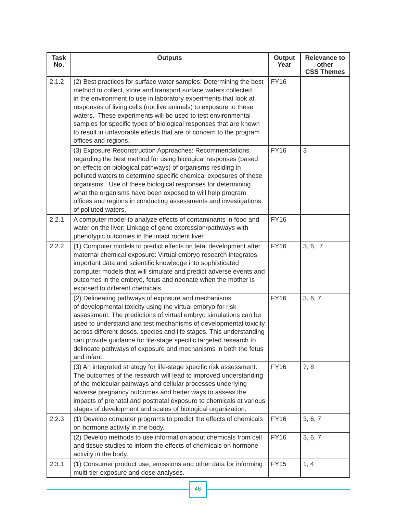| <b>Task</b><br>No. | <b>Outputs</b>                                                                                                                                                                                                                                                                                                                                                                                                                                                                                                     | <b>Output</b><br>Year | <b>Relevance to</b><br>other<br><b>CSS Themes</b> |
|--------------------|--------------------------------------------------------------------------------------------------------------------------------------------------------------------------------------------------------------------------------------------------------------------------------------------------------------------------------------------------------------------------------------------------------------------------------------------------------------------------------------------------------------------|-----------------------|---------------------------------------------------|
| 2.1.2              | (2) Best practices for surface water samples: Determining the best<br>method to collect, store and transport surface waters collected<br>in the environment to use in laboratory experiments that look at<br>responses of living cells (not live animals) to exposure to these<br>waters. These experiments will be used to test environmental<br>samples for specific types of biological responses that are known<br>to result in unfavorable effects that are of concern to the program<br>offices and regions. | <b>FY16</b>           |                                                   |
|                    | (3) Exposure Reconstruction Approaches: Recommendations<br>regarding the best method for using biological responses (based<br>on effects on biological pathways) of organisms residing in<br>polluted waters to determine specific chemical exposures of these<br>organisms. Use of these biological responses for determining<br>what the organisms have been exposed to will help program<br>offices and regions in conducting assessments and investigations<br>of polluted waters.                             | <b>FY16</b>           | 3                                                 |
| 2.2.1              | A computer model to analyze effects of contaminants in food and<br>water on the liver: Linkage of gene expression/pathways with<br>phenotypic outcomes in the intact rodent liver.                                                                                                                                                                                                                                                                                                                                 | <b>FY16</b>           |                                                   |
| 2.2.2              | (1) Computer models to predict effects on fetal development after<br>maternal chemical exposure: Virtual embryo research integrates<br>important data and scientific knowledge into sophisticated<br>computer models that will simulate and predict adverse events and<br>outcomes in the embryo, fetus and neonate when the mother is<br>exposed to different chemicals.                                                                                                                                          | <b>FY16</b>           | 3, 6, 7                                           |
|                    | (2) Delineating pathways of exposure and mechanisms<br>of developmental toxicity using the virtual embryo for risk<br>assessment: The predictions of virtual embryo simulations can be<br>used to understand and test mechanisms of developmental toxicity<br>across different doses, species and life stages. This understanding<br>can provide guidance for life-stage specific targeted research to<br>delineate pathways of exposure and mechanisms in both the fetus<br>and infant.                           | <b>FY16</b>           | 3, 6, 7                                           |
|                    | (3) An integrated strategy for life-stage specific risk assessment:<br>The outcomes of the research will lead to improved understanding<br>of the molecular pathways and cellular processes underlying<br>adverse pregnancy outcomes and better ways to assess the<br>impacts of prenatal and postnatal exposure to chemicals at various<br>stages of development and scales of biological organization.                                                                                                           | <b>FY16</b>           | 7, 8                                              |
| 2.2.3              | (1) Develop computer programs to predict the effects of chemicals<br>on hormone activity in the body.                                                                                                                                                                                                                                                                                                                                                                                                              | <b>FY16</b>           | 3, 6, 7                                           |
|                    | (2) Develop methods to use information about chemicals from cell<br>and tissue studies to inform the effects of chemicals on hormone<br>activity in the body.                                                                                                                                                                                                                                                                                                                                                      | <b>FY16</b>           | 3, 6, 7                                           |
| 2.3.1              | (1) Consumer product use, emissions and other data for informing<br>multi-tier exposure and dose analyses.                                                                                                                                                                                                                                                                                                                                                                                                         | <b>FY15</b>           | 1, 4                                              |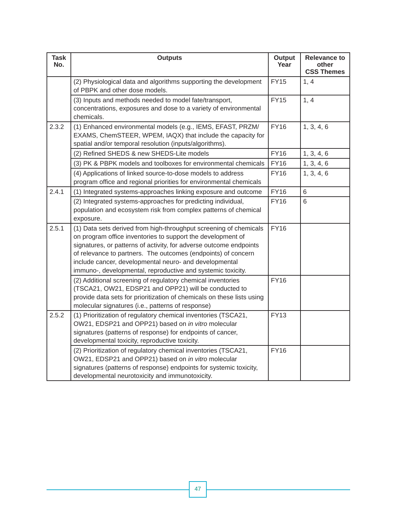| <b>Task</b><br>No. | <b>Outputs</b>                                                                                                                                                                                                                                                                                                                                                                                   | <b>Output</b><br>Year | <b>Relevance to</b><br>other<br><b>CSS Themes</b> |
|--------------------|--------------------------------------------------------------------------------------------------------------------------------------------------------------------------------------------------------------------------------------------------------------------------------------------------------------------------------------------------------------------------------------------------|-----------------------|---------------------------------------------------|
|                    | (2) Physiological data and algorithms supporting the development<br>of PBPK and other dose models.                                                                                                                                                                                                                                                                                               | <b>FY15</b>           | 1, 4                                              |
|                    | (3) Inputs and methods needed to model fate/transport,<br>concentrations, exposures and dose to a variety of environmental<br>chemicals.                                                                                                                                                                                                                                                         | <b>FY15</b>           | 1, 4                                              |
| 2.3.2              | (1) Enhanced environmental models (e.g., IEMS, EFAST, PRZM/<br>EXAMS, ChemSTEER, WPEM, IAQX) that include the capacity for<br>spatial and/or temporal resolution (inputs/algorithms).                                                                                                                                                                                                            | <b>FY16</b>           | 1, 3, 4, 6                                        |
|                    | (2) Refined SHEDS & new SHEDS-Lite models                                                                                                                                                                                                                                                                                                                                                        | <b>FY16</b>           | 1, 3, 4, 6                                        |
|                    | (3) PK & PBPK models and toolboxes for environmental chemicals                                                                                                                                                                                                                                                                                                                                   | <b>FY16</b>           | 1, 3, 4, 6                                        |
|                    | (4) Applications of linked source-to-dose models to address<br>program office and regional priorities for environmental chemicals                                                                                                                                                                                                                                                                | <b>FY16</b>           | 1, 3, 4, 6                                        |
| 2.4.1              | (1) Integrated systems-approaches linking exposure and outcome                                                                                                                                                                                                                                                                                                                                   | <b>FY16</b>           | 6                                                 |
|                    | (2) Integrated systems-approaches for predicting individual,<br>population and ecosystem risk from complex patterns of chemical<br>exposure.                                                                                                                                                                                                                                                     | <b>FY16</b>           | 6                                                 |
| 2.5.1              | (1) Data sets derived from high-throughput screening of chemicals<br>on program office inventories to support the development of<br>signatures, or patterns of activity, for adverse outcome endpoints<br>of relevance to partners. The outcomes (endpoints) of concern<br>include cancer, developmental neuro- and developmental<br>immuno-, developmental, reproductive and systemic toxicity. | <b>FY16</b>           |                                                   |
|                    | (2) Additional screening of regulatory chemical inventories<br>(TSCA21, OW21, EDSP21 and OPP21) will be conducted to<br>provide data sets for prioritization of chemicals on these lists using<br>molecular signatures (i.e., patterns of response)                                                                                                                                              | <b>FY16</b>           |                                                   |
| 2.5.2              | (1) Prioritization of regulatory chemical inventories (TSCA21,<br>OW21, EDSP21 and OPP21) based on in vitro molecular<br>signatures (patterns of response) for endpoints of cancer,<br>developmental toxicity, reproductive toxicity.                                                                                                                                                            | <b>FY13</b>           |                                                   |
|                    | (2) Prioritization of regulatory chemical inventories (TSCA21,<br>OW21, EDSP21 and OPP21) based on in vitro molecular<br>signatures (patterns of response) endpoints for systemic toxicity,<br>developmental neurotoxicity and immunotoxicity.                                                                                                                                                   | <b>FY16</b>           |                                                   |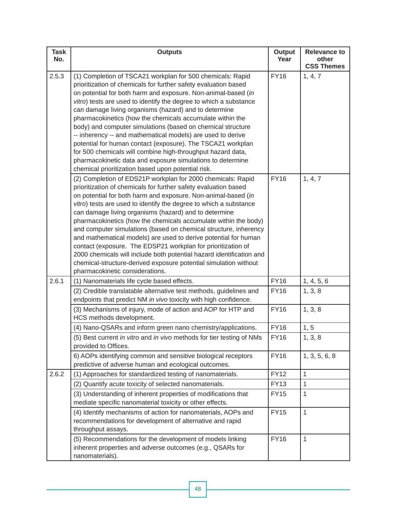| <b>Task</b><br>No. | <b>Outputs</b>                                                                                                                                                                                                                                                                                                                                                                                                                                                                                                                                                                                                                                                                                                                                                                         | <b>Output</b><br>Year | <b>Relevance to</b><br>other<br><b>CSS Themes</b> |
|--------------------|----------------------------------------------------------------------------------------------------------------------------------------------------------------------------------------------------------------------------------------------------------------------------------------------------------------------------------------------------------------------------------------------------------------------------------------------------------------------------------------------------------------------------------------------------------------------------------------------------------------------------------------------------------------------------------------------------------------------------------------------------------------------------------------|-----------------------|---------------------------------------------------|
| 2.5.3              | (1) Completion of TSCA21 workplan for 500 chemicals: Rapid<br>prioritization of chemicals for further safety evaluation based<br>on potential for both harm and exposure. Non-animal-based (in<br>vitro) tests are used to identify the degree to which a substance<br>can damage living organisms (hazard) and to determine<br>pharmacokinetics (how the chemicals accumulate within the<br>body) and computer simulations (based on chemical structure<br>-- inherency -- and mathematical models) are used to derive<br>potential for human contact (exposure). The TSCA21 workplan<br>for 500 chemicals will combine high-throughput hazard data,<br>pharmacokinetic data and exposure simulations to determine<br>chemical prioritization based upon potential risk.              | <b>FY16</b>           | 1, 4, 7                                           |
|                    | (2) Completion of EDS21P workplan for 2000 chemicals: Rapid<br>prioritization of chemicals for further safety evaluation based<br>on potential for both harm and exposure. Non-animal-based (in<br>vitro) tests are used to identify the degree to which a substance<br>can damage living organisms (hazard) and to determine<br>pharmacokinetics (how the chemicals accumulate within the body)<br>and computer simulations (based on chemical structure, inherency<br>and mathematical models) are used to derive potential for human<br>contact (exposure. The EDSP21 workplan for prioritization of<br>2000 chemicals will include both potential hazard identification and<br>chemical-structure-derived exposure potential simulation without<br>pharmacokinetic considerations. | <b>FY16</b>           | 1, 4, 7                                           |
| 2.6.1              | (1) Nanomaterials life cycle based effects.                                                                                                                                                                                                                                                                                                                                                                                                                                                                                                                                                                                                                                                                                                                                            | <b>FY16</b>           | 1, 4, 5, 6                                        |
|                    | (2) Credible translatable alternative test methods, guidelines and<br>endpoints that predict NM in vivo toxicity with high confidence.                                                                                                                                                                                                                                                                                                                                                                                                                                                                                                                                                                                                                                                 | <b>FY16</b>           | 1, 3, 8                                           |
|                    | (3) Mechanisms of injury, mode of action and AOP for HTP and<br>HCS methods development.                                                                                                                                                                                                                                                                                                                                                                                                                                                                                                                                                                                                                                                                                               | <b>FY16</b>           | 1, 3, 8                                           |
|                    | (4) Nano-QSARs and inform green nano chemistry/applications.                                                                                                                                                                                                                                                                                                                                                                                                                                                                                                                                                                                                                                                                                                                           | <b>FY16</b>           | 1, 5                                              |
|                    | (5) Best current in vitro and in vivo methods for tier testing of NMs<br>provided to Offices.                                                                                                                                                                                                                                                                                                                                                                                                                                                                                                                                                                                                                                                                                          | <b>FY16</b>           | 1, 3, 8                                           |
|                    | 6) AOPs identifying common and sensitive biological receptors<br>predictive of adverse human and ecological outcomes.                                                                                                                                                                                                                                                                                                                                                                                                                                                                                                                                                                                                                                                                  | <b>FY16</b>           | 1, 3, 5, 6, 8                                     |
| 2.6.2              | (1) Approaches for standardized testing of nanomaterials.                                                                                                                                                                                                                                                                                                                                                                                                                                                                                                                                                                                                                                                                                                                              | <b>FY12</b>           | 1                                                 |
|                    | (2) Quantify acute toxicity of selected nanomaterials.                                                                                                                                                                                                                                                                                                                                                                                                                                                                                                                                                                                                                                                                                                                                 | <b>FY13</b>           | 1                                                 |
|                    | (3) Understanding of inherent properties of modifications that<br>mediate specific nanomaterial toxicity or other effects.                                                                                                                                                                                                                                                                                                                                                                                                                                                                                                                                                                                                                                                             | <b>FY15</b>           | 1                                                 |
|                    | (4) Identify mechanisms of action for nanomaterials, AOPs and<br>recommendations for development of alternative and rapid<br>throughput assays.                                                                                                                                                                                                                                                                                                                                                                                                                                                                                                                                                                                                                                        | <b>FY15</b>           | $\mathbf{1}$                                      |
|                    | (5) Recommendations for the development of models linking<br>inherent properties and adverse outcomes (e.g., QSARs for<br>nanomaterials).                                                                                                                                                                                                                                                                                                                                                                                                                                                                                                                                                                                                                                              | <b>FY16</b>           | 1                                                 |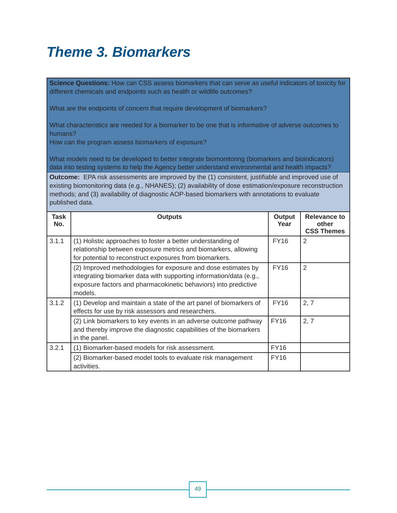## *Theme 3. Biomarkers*

**Science Questions:** How can CSS assess biomarkers that can serve as useful indicators of toxicity for different chemicals and endpoints such as health or wildlife outcomes?

What are the endpoints of concern that require development of biomarkers?

What characteristics are needed for a biomarker to be one that is informative of adverse outcomes to humans?

How can the program assess biomarkers of exposure?

What models need to be developed to better integrate biomonitoring (biomarkers and bioindicators) data into testing systems to help the Agency better understand environmental and health impacts?

**Outcome:** EPA risk assessments are improved by the (1) consistent, justifiable and improved use of existing biomonitoring data (e.g., NHANES); (2) availability of dose estimation/exposure reconstruction methods; and (3) availability of diagnostic AOP-based biomarkers with annotations to evaluate published data.

| Task<br>No. | <b>Outputs</b>                                                                                                                                                                                                    | Output<br>Year | <b>Relevance to</b><br>other<br><b>CSS Themes</b> |
|-------------|-------------------------------------------------------------------------------------------------------------------------------------------------------------------------------------------------------------------|----------------|---------------------------------------------------|
| 3.1.1       | (1) Holistic approaches to foster a better understanding of<br>relationship between exposure metrics and biomarkers, allowing<br>for potential to reconstruct exposures from biomarkers.                          | <b>FY16</b>    | 2                                                 |
|             | (2) Improved methodologies for exposure and dose estimates by<br>integrating biomarker data with supporting information/data (e.g.,<br>exposure factors and pharmacokinetic behaviors) into predictive<br>models. | <b>FY16</b>    | 2                                                 |
| 3.1.2       | (1) Develop and maintain a state of the art panel of biomarkers of<br>effects for use by risk assessors and researchers.                                                                                          | <b>FY16</b>    | 2, 7                                              |
|             | (2) Link biomarkers to key events in an adverse outcome pathway<br>and thereby improve the diagnostic capabilities of the biomarkers<br>in the panel.                                                             | <b>FY16</b>    | 2, 7                                              |
| 3.2.1       | (1) Biomarker-based models for risk assessment.                                                                                                                                                                   | <b>FY16</b>    |                                                   |
|             | (2) Biomarker-based model tools to evaluate risk management<br>activities.                                                                                                                                        | <b>FY16</b>    |                                                   |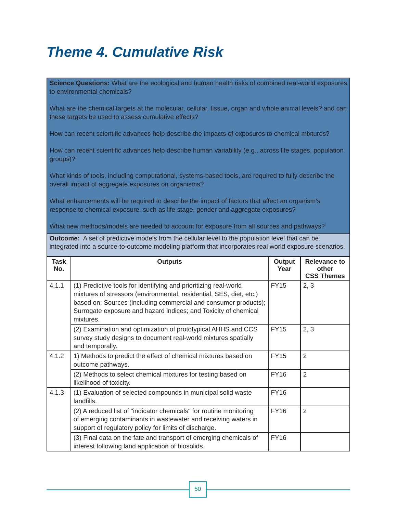## *Theme 4. Cumulative Risk*

**Science Questions:** What are the ecological and human health risks of combined real-world exposures to environmental chemicals?

What are the chemical targets at the molecular, cellular, tissue, organ and whole animal levels? and can these targets be used to assess cumulative effects?

How can recent scientific advances help describe the impacts of exposures to chemical mixtures?

How can recent scientific advances help describe human variability (e.g., across life stages, population groups)?

What kinds of tools, including computational, systems-based tools, are required to fully describe the overall impact of aggregate exposures on organisms?

What enhancements will be required to describe the impact of factors that affect an organism's response to chemical exposure, such as life stage, gender and aggregate exposures?

What new methods/models are needed to account for exposure from all sources and pathways?

 **Outcome:** A set of predictive models from the cellular level to the population level that can be integrated into a source-to-outcome modeling platform that incorporates real world exposure scenarios.

| <b>Task</b><br>No. | <b>Outputs</b>                                                                                                                                                                                                                                                                             | Output<br>Year | Relevance to<br>other<br><b>CSS Themes</b> |
|--------------------|--------------------------------------------------------------------------------------------------------------------------------------------------------------------------------------------------------------------------------------------------------------------------------------------|----------------|--------------------------------------------|
| 4.1.1              | (1) Predictive tools for identifying and prioritizing real-world<br>mixtures of stressors (environmental, residential, SES, diet, etc.)<br>based on: Sources (including commercial and consumer products);<br>Surrogate exposure and hazard indices; and Toxicity of chemical<br>mixtures. | <b>FY15</b>    | 2, 3                                       |
|                    | (2) Examination and optimization of prototypical AHHS and CCS<br>survey study designs to document real-world mixtures spatially<br>and temporally.                                                                                                                                         | <b>FY15</b>    | 2, 3                                       |
| 4.1.2              | 1) Methods to predict the effect of chemical mixtures based on<br>outcome pathways.                                                                                                                                                                                                        | <b>FY15</b>    | 2                                          |
|                    | (2) Methods to select chemical mixtures for testing based on<br>likelihood of toxicity.                                                                                                                                                                                                    | <b>FY16</b>    | 2                                          |
| 4.1.3              | (1) Evaluation of selected compounds in municipal solid waste<br>landfills.                                                                                                                                                                                                                | <b>FY16</b>    |                                            |
|                    | (2) A reduced list of "indicator chemicals" for routine monitoring<br>of emerging contaminants in wastewater and receiving waters in<br>support of regulatory policy for limits of discharge.                                                                                              | <b>FY16</b>    | 2                                          |
|                    | (3) Final data on the fate and transport of emerging chemicals of<br>interest following land application of biosolids.                                                                                                                                                                     | <b>FY16</b>    |                                            |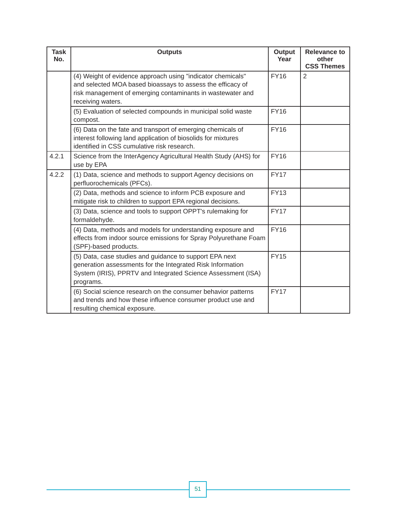| <b>Task</b><br>No. | <b>Outputs</b>                                                                                                                                                                                               | <b>Output</b><br>Year | <b>Relevance to</b><br>other<br><b>CSS Themes</b> |
|--------------------|--------------------------------------------------------------------------------------------------------------------------------------------------------------------------------------------------------------|-----------------------|---------------------------------------------------|
|                    | (4) Weight of evidence approach using "indicator chemicals"<br>and selected MOA based bioassays to assess the efficacy of<br>risk management of emerging contaminants in wastewater and<br>receiving waters. | <b>FY16</b>           | 2                                                 |
|                    | (5) Evaluation of selected compounds in municipal solid waste<br>compost.                                                                                                                                    | <b>FY16</b>           |                                                   |
|                    | (6) Data on the fate and transport of emerging chemicals of<br>interest following land application of biosolids for mixtures<br>identified in CSS cumulative risk research.                                  | <b>FY16</b>           |                                                   |
| 4.2.1              | Science from the InterAgency Agricultural Health Study (AHS) for<br>use by EPA                                                                                                                               | <b>FY16</b>           |                                                   |
| 4.2.2              | (1) Data, science and methods to support Agency decisions on<br>perfluorochemicals (PFCs).                                                                                                                   | <b>FY17</b>           |                                                   |
|                    | (2) Data, methods and science to inform PCB exposure and<br>mitigate risk to children to support EPA regional decisions.                                                                                     | <b>FY13</b>           |                                                   |
|                    | (3) Data, science and tools to support OPPT's rulemaking for<br>formaldehyde.                                                                                                                                | <b>FY17</b>           |                                                   |
|                    | (4) Data, methods and models for understanding exposure and<br>effects from indoor source emissions for Spray Polyurethane Foam<br>(SPF)-based products.                                                     | <b>FY16</b>           |                                                   |
|                    | (5) Data, case studies and guidance to support EPA next<br>generation assessments for the Integrated Risk Information<br>System (IRIS), PPRTV and Integrated Science Assessment (ISA)<br>programs.           | <b>FY15</b>           |                                                   |
|                    | (6) Social science research on the consumer behavior patterns<br>and trends and how these influence consumer product use and<br>resulting chemical exposure.                                                 | <b>FY17</b>           |                                                   |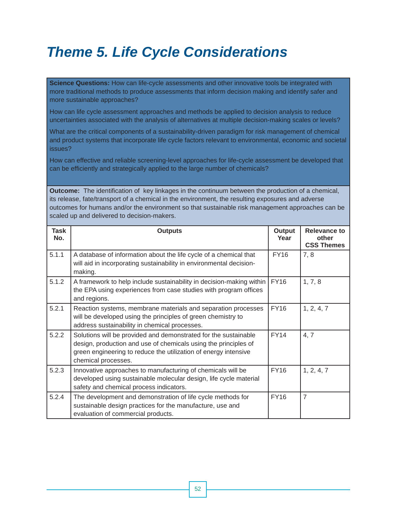## *Theme 5. Life Cycle Considerations*

**Science Questions:** How can life-cycle assessments and other innovative tools be integrated with more traditional methods to produce assessments that inform decision making and identify safer and more sustainable approaches?

How can life cycle assessment approaches and methods be applied to decision analysis to reduce uncertainties associated with the analysis of alternatives at multiple decision-making scales or levels?

What are the critical components of a sustainability-driven paradigm for risk management of chemical and product systems that incorporate life cycle factors relevant to environmental, economic and societal issues?

How can effective and reliable screening-level approaches for life-cycle assessment be developed that can be efficiently and strategically applied to the large number of chemicals?

**Outcome:** The identification of key linkages in the continuum between the production of a chemical, its release, fate/transport of a chemical in the environment, the resulting exposures and adverse outcomes for humans and/or the environment so that sustainable risk management approaches can be scaled up and delivered to decision-makers.

| Task<br>No. | <b>Outputs</b>                                                                                                                                                                                                               | Output<br>Year | <b>Relevance to</b><br>other<br><b>CSS Themes</b> |
|-------------|------------------------------------------------------------------------------------------------------------------------------------------------------------------------------------------------------------------------------|----------------|---------------------------------------------------|
| 5.1.1       | A database of information about the life cycle of a chemical that<br>will aid in incorporating sustainability in environmental decision-<br>making.                                                                          | <b>FY16</b>    | 7, 8                                              |
| 5.1.2       | A framework to help include sustainability in decision-making within<br>the EPA using experiences from case studies with program offices<br>and regions.                                                                     | <b>FY16</b>    | 1, 7, 8                                           |
| 5.2.1       | Reaction systems, membrane materials and separation processes<br>will be developed using the principles of green chemistry to<br>address sustainability in chemical processes.                                               | <b>FY16</b>    | 1, 2, 4, 7                                        |
| 5.2.2       | Solutions will be provided and demonstrated for the sustainable<br>design, production and use of chemicals using the principles of<br>green engineering to reduce the utilization of energy intensive<br>chemical processes. | <b>FY14</b>    | 4, 7                                              |
| 5.2.3       | Innovative approaches to manufacturing of chemicals will be<br>developed using sustainable molecular design, life cycle material<br>safety and chemical process indicators.                                                  | <b>FY16</b>    | 1, 2, 4, 7                                        |
| 5.2.4       | The development and demonstration of life cycle methods for<br>sustainable design practices for the manufacture, use and<br>evaluation of commercial products.                                                               | <b>FY16</b>    | $\overline{7}$                                    |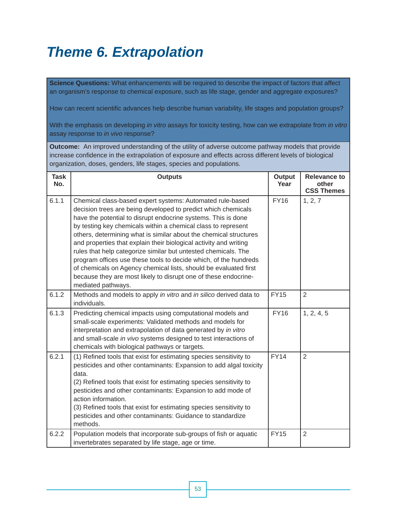## *Theme 6. Extrapolation*

**Science Questions:** What enhancements will be required to describe the impact of factors that affect an organism's response to chemical exposure, such as life stage, gender and aggregate exposures?

How can recent scientific advances help describe human variability, life stages and population groups?

With the emphasis on developing *in vitro* assays for toxicity testing, how can we extrapolate from *in vitro*  assay response to *in vivo* response?

**Outcome:** An improved understanding of the utility of adverse outcome pathway models that provide increase confidence in the extrapolation of exposure and effects across different levels of biological organization, doses, genders, life stages, species and populations.

| <b>Task</b><br>No. | <b>Outputs</b>                                                                                                                                                                                                                                                                                                                                                                                                                                                                                                                                                                                                                                                                                            | Output<br>Year | <b>Relevance to</b><br>other<br><b>CSS Themes</b> |
|--------------------|-----------------------------------------------------------------------------------------------------------------------------------------------------------------------------------------------------------------------------------------------------------------------------------------------------------------------------------------------------------------------------------------------------------------------------------------------------------------------------------------------------------------------------------------------------------------------------------------------------------------------------------------------------------------------------------------------------------|----------------|---------------------------------------------------|
| 6.1.1              | Chemical class-based expert systems: Automated rule-based<br>decision trees are being developed to predict which chemicals<br>have the potential to disrupt endocrine systems. This is done<br>by testing key chemicals within a chemical class to represent<br>others, determining what is similar about the chemical structures<br>and properties that explain their biological activity and writing<br>rules that help categorize similar but untested chemicals. The<br>program offices use these tools to decide which, of the hundreds<br>of chemicals on Agency chemical lists, should be evaluated first<br>because they are most likely to disrupt one of these endocrine-<br>mediated pathways. | <b>FY16</b>    | 1, 2, 7                                           |
| 6.1.2              | Methods and models to apply in vitro and in silico derived data to<br>individuals.                                                                                                                                                                                                                                                                                                                                                                                                                                                                                                                                                                                                                        | <b>FY15</b>    | 2                                                 |
| 6.1.3              | Predicting chemical impacts using computational models and<br>small-scale experiments: Validated methods and models for<br>interpretation and extrapolation of data generated by in vitro<br>and small-scale in vivo systems designed to test interactions of<br>chemicals with biological pathways or targets.                                                                                                                                                                                                                                                                                                                                                                                           | <b>FY16</b>    | 1, 2, 4, 5                                        |
| 6.2.1              | (1) Refined tools that exist for estimating species sensitivity to<br>pesticides and other contaminants: Expansion to add algal toxicity<br>data.<br>(2) Refined tools that exist for estimating species sensitivity to<br>pesticides and other contaminants: Expansion to add mode of<br>action information.<br>(3) Refined tools that exist for estimating species sensitivity to<br>pesticides and other contaminants: Guidance to standardize<br>methods.                                                                                                                                                                                                                                             | <b>FY14</b>    | $\overline{2}$                                    |
| 6.2.2              | Population models that incorporate sub-groups of fish or aquatic<br>invertebrates separated by life stage, age or time.                                                                                                                                                                                                                                                                                                                                                                                                                                                                                                                                                                                   | <b>FY15</b>    | $\overline{2}$                                    |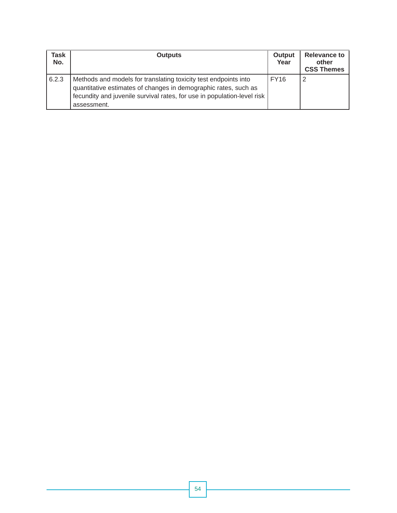| Task<br>No. | <b>Outputs</b>                                                                                                                                                                                                               | Output<br>Year | <b>Relevance to</b><br>other<br><b>CSS Themes</b> |
|-------------|------------------------------------------------------------------------------------------------------------------------------------------------------------------------------------------------------------------------------|----------------|---------------------------------------------------|
| 6.2.3       | Methods and models for translating toxicity test endpoints into<br>quantitative estimates of changes in demographic rates, such as<br>fecundity and juvenile survival rates, for use in population-level risk<br>assessment. | <b>FY16</b>    | 2                                                 |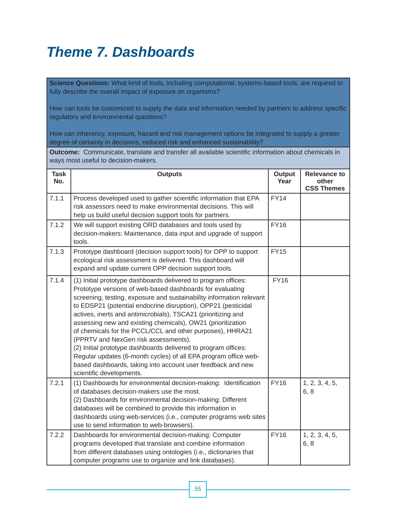## *Theme 7. Dashboards*

**Science Questions:** What kind of tools, including computational, systems-based tools, are required to fully describe the overall impact of exposure on organisms?

How can tools be customized to supply the data and information needed by partners to address specific regulatory and environmental questions?

How can inherency, exposure, hazard and risk management options be integrated to supply a greater degree of certainty in decisions, reduced risk and enhanced sustainability?

**Outcome:** Communicate, translate and transfer all available scientific information about chemicals in ways most useful to decision-makers.

| <b>Task</b><br>No. | <b>Outputs</b>                                                                                                                                                                                                                                                                                                                                                                                                                                                                                                                                                                                                                                                                                                                            | Output<br>Year | <b>Relevance to</b><br>other<br><b>CSS Themes</b> |
|--------------------|-------------------------------------------------------------------------------------------------------------------------------------------------------------------------------------------------------------------------------------------------------------------------------------------------------------------------------------------------------------------------------------------------------------------------------------------------------------------------------------------------------------------------------------------------------------------------------------------------------------------------------------------------------------------------------------------------------------------------------------------|----------------|---------------------------------------------------|
| 7.1.1              | Process developed used to gather scientific information that EPA<br>risk assessors need to make environmental decisions. This will<br>help us build useful decision support tools for partners.                                                                                                                                                                                                                                                                                                                                                                                                                                                                                                                                           | <b>FY14</b>    |                                                   |
| 7.1.2              | We will support existing ORD databases and tools used by<br>decision-makers: Maintenance, data input and upgrade of support<br>tools.                                                                                                                                                                                                                                                                                                                                                                                                                                                                                                                                                                                                     | <b>FY16</b>    |                                                   |
| 7.1.3              | Prototype dashboard (decision support tools) for OPP to support<br>ecological risk assessment is delivered. This dashboard will<br>expand and update current OPP decision support tools.                                                                                                                                                                                                                                                                                                                                                                                                                                                                                                                                                  | <b>FY15</b>    |                                                   |
| 7.1.4              | (1) Initial prototype dashboards delivered to program offices:<br>Prototype versions of web-based dashboards for evaluating<br>screening, testing, exposure and sustainability information relevant<br>to EDSP21 (potential endocrine disruption), OPP21 (pesticidal<br>actives, inerts and antimicrobials), TSCA21 (prioritizing and<br>assessing new and existing chemicals), OW21 (prioritization<br>of chemicals for the PCCL/CCL and other purposes), HHRA21<br>(PPRTV and NexGen risk assessments).<br>(2) Initial prototype dashboards delivered to program offices:<br>Regular updates (6-month cycles) of all EPA program office web-<br>based dashboards, taking into account user feedback and new<br>scientific developments. | <b>FY16</b>    |                                                   |
| 7.2.1              | (1) Dashboards for environmental decision-making: Identification<br>of databases decision-makers use the most.<br>(2) Dashboards for environmental decision-making: Different<br>databases will be combined to provide this information in<br>dashboards using web-services (i.e., computer programs web sites<br>use to send information to web-browsers).                                                                                                                                                                                                                                                                                                                                                                               | <b>FY16</b>    | 1, 2, 3, 4, 5,<br>6, 8                            |
| 7.2.2              | Dashboards for environmental decision-making: Computer<br>programs developed that translate and combine information<br>from different databases using ontologies (i.e., dictionaries that<br>computer programs use to organize and link databases).                                                                                                                                                                                                                                                                                                                                                                                                                                                                                       | <b>FY16</b>    | 1, 2, 3, 4, 5,<br>6, 8                            |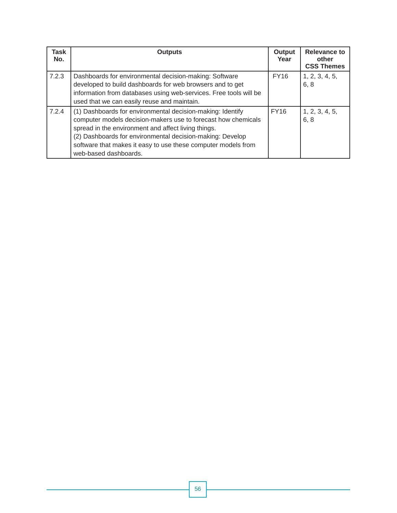| Task<br>No. | <b>Outputs</b>                                                                                                                                                                                                                                                                                                                            | Output<br>Year | <b>Relevance to</b><br>other<br><b>CSS Themes</b> |
|-------------|-------------------------------------------------------------------------------------------------------------------------------------------------------------------------------------------------------------------------------------------------------------------------------------------------------------------------------------------|----------------|---------------------------------------------------|
| 7.2.3       | Dashboards for environmental decision-making: Software<br>developed to build dashboards for web browsers and to get<br>information from databases using web-services. Free tools will be<br>used that we can easily reuse and maintain.                                                                                                   | <b>FY16</b>    | 1, 2, 3, 4, 5,<br>6, 8                            |
| 7.2.4       | (1) Dashboards for environmental decision-making: Identify<br>computer models decision-makers use to forecast how chemicals<br>spread in the environment and affect living things.<br>(2) Dashboards for environmental decision-making: Develop<br>software that makes it easy to use these computer models from<br>web-based dashboards. | <b>FY16</b>    | 1, 2, 3, 4, 5,<br>6, 8                            |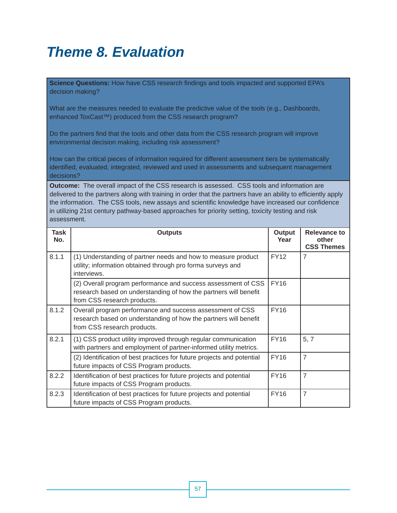## *Theme 8. Evaluation*

**Science Questions:** How have CSS research findings and tools impacted and supported EPA's decision making?

What are the measures needed to evaluate the predictive value of the tools (e.g., Dashboards, enhanced ToxCast*™*) produced from the CSS research program?

Do the partners find that the tools and other data from the CSS research program will improve environmental decision making, including risk assessment?

How can the critical pieces of information required for different assessment tiers be systematically identified, evaluated, integrated, reviewed and used in assessments and subsequent management decisions?

**Outcome:** The overall impact of the CSS research is assessed. CSS tools and information are delivered to the partners along with training in order that the partners have an ability to efficiently apply the information. The CSS tools, new assays and scientific knowledge have increased our confidence in utilizing 21st century pathway-based approaches for priority setting, toxicity testing and risk assessment.

| Task<br>No. | <b>Outputs</b>                                                                                                                                                   | Output<br>Year | <b>Relevance to</b><br>other<br><b>CSS Themes</b> |
|-------------|------------------------------------------------------------------------------------------------------------------------------------------------------------------|----------------|---------------------------------------------------|
| 8.1.1       | (1) Understanding of partner needs and how to measure product<br>utility; information obtained through pro forma surveys and<br>interviews.                      | <b>FY12</b>    | $\overline{7}$                                    |
|             | (2) Overall program performance and success assessment of CSS<br>research based on understanding of how the partners will benefit<br>from CSS research products. | <b>FY16</b>    |                                                   |
| 8.1.2       | Overall program performance and success assessment of CSS<br>research based on understanding of how the partners will benefit<br>from CSS research products.     | <b>FY16</b>    |                                                   |
| 8.2.1       | (1) CSS product utility improved through regular communication<br>with partners and employment of partner-informed utility metrics.                              | <b>FY16</b>    | 5, 7                                              |
|             | (2) Identification of best practices for future projects and potential<br>future impacts of CSS Program products.                                                | <b>FY16</b>    | $\overline{7}$                                    |
| 8.2.2       | Identification of best practices for future projects and potential<br>future impacts of CSS Program products.                                                    | <b>FY16</b>    | $\overline{7}$                                    |
| 8.2.3       | Identification of best practices for future projects and potential<br>future impacts of CSS Program products.                                                    | <b>FY16</b>    | $\overline{7}$                                    |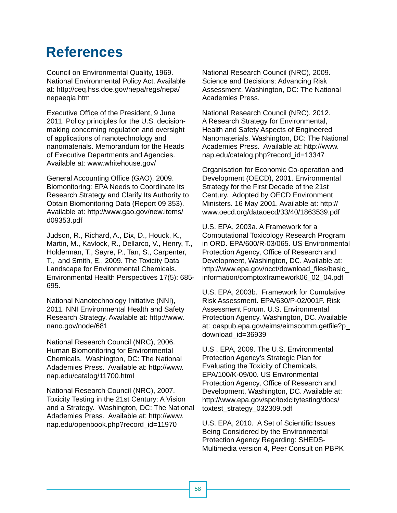## **References**

Council on Environmental Quality, 1969. National Environmental Policy Act. Available at: http://ceq.hss.doe.gov/nepa/regs/nepa/ nepaeqia.htm

Executive Office of the President, 9 June 2011. Policy principles for the U.S. decisionmaking concerning regulation and oversight of applications of nanotechnology and nanomaterials. Memorandum for the Heads of Executive Departments and Agencies. Available at: www.whitehouse.gov/

General Accounting Office (GAO), 2009. Biomonitoring: EPA Needs to Coordinate Its Research Strategy and Clarify Its Authority to Obtain Biomonitoring Data (Report 09 353). Available at: http://www.gao.gov/new.items/ d09353.pdf

Judson, R., Richard, A., Dix, D., Houck, K., Martin, M., Kavlock, R., Dellarco, V., Henry, T., Holderman, T., Sayre, P., Tan, S., Carpenter, T., and Smith, E., 2009. The Toxicity Data Landscape for Environmental Chemicals. Environmental Health Perspectives 17(5): 685- 695.

National Nanotechnology Initiative (NNI), 2011. NNI Environmental Health and Safety Research Strategy. Available at: http://www. nano.gov/node/681

National Research Council (NRC), 2006. Human Biomonitoring for Environmental Chemicals. Washington, DC: The National Adademies Press. Available at: http://www. nap.edu/catalog/11700.html

National Research Council (NRC), 2007. Toxicity Testing in the 21st Century: A Vision and a Strategy. Washington, DC: The National Adademies Press. Available at: http://www. nap.edu/openbook.php?record\_id=11970

National Research Council (NRC), 2009. Science and Decisions: Advancing Risk Assessment. Washington, DC: The National Academies Press.

National Research Council (NRC), 2012. A Research Strategy for Environmental, Health and Safety Aspects of Engineered Nanomaterials. Washington, DC: The National Academies Press. Available at: http://www. nap.edu/catalog.php?record\_id=13347

Organisation for Economic Co-operation and Development (OECD), 2001. Environmental Strategy for the First Decade of the 21st Century. Adopted by OECD Environment Ministers. 16 May 2001. Available at: http:// www.oecd.org/dataoecd/33/40/1863539.pdf

U.S. EPA, 2003a. A Framework for a Computational Toxicology Research Program in ORD. EPA/600/R-03/065. US Environmental Protection Agency, Office of Research and Development, Washington, DC. Available at: http://www.epa.gov/ncct/download\_files/basic information/comptoxframework06\_02\_04.pdf

U.S. EPA, 2003b. Framework for Cumulative Risk Assessment. EPA/630/P-02/001F. Risk Assessment Forum. U.S. Environmental Protection Agency. Washington, DC. Available at: oaspub.epa.gov/eims/eimscomm.getfile?p\_ download\_id=36939

U.S . EPA, 2009. The U.S. Environmental Protection Agency's Strategic Plan for Evaluating the Toxicity of Chemicals, EPA/100/K-09/00. US Environmental Protection Agency, Office of Research and Development, Washington, DC. Available at: http://www.epa.gov/spc/toxicitytesting/docs/ toxtest\_strategy\_032309.pdf

U.S. EPA, 2010. A Set of Scientific Issues Being Considered by the Environmental Protection Agency Regarding: SHEDS-Multimedia version 4, Peer Consult on PBPK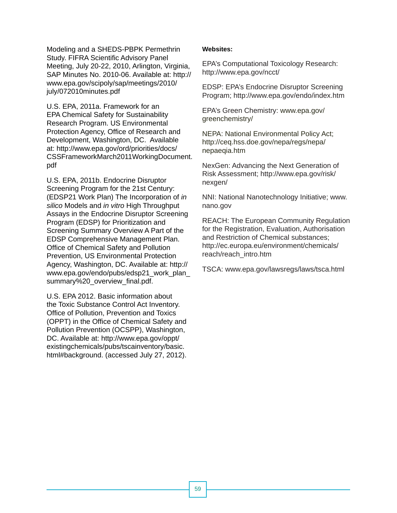Modeling and a SHEDS-PBPK Permethrin Study. FIFRA Scientific Advisory Panel Meeting, July 20-22, 2010, Arlington, Virginia, SAP Minutes No. 2010-06. Available at: http:// www.epa.gov/scipoly/sap/meetings/2010/ july/072010minutes.pdf

U.S. EPA, 2011a. Framework for an EPA Chemical Safety for Sustainability Research Program. US Environmental Protection Agency, Office of Research and Development, Washington, DC. Available at: http://www.epa.gov/ord/priorities/docs/ CSSFrameworkMarch2011WorkingDocument. pdf

U.S. EPA, 2011b. Endocrine Disruptor Screening Program for the 21st Century: (EDSP21 Work Plan) The Incorporation of *in silico* Models and *in vitro* High Throughput Assays in the Endocrine Disruptor Screening Program (EDSP) for Prioritization and Screening Summary Overview A Part of the EDSP Comprehensive Management Plan. Office of Chemical Safety and Pollution Prevention, US Environmental Protection Agency, Washington, DC. Available at: http:// www.epa.gov/endo/pubs/edsp21\_work\_plan\_ summary%20\_overview\_final.pdf.

U.S. EPA 2012. Basic information about the Toxic Substance Control Act Inventory. Office of Pollution, Prevention and Toxics (OPPT) in the Office of Chemical Safety and Pollution Prevention (OCSPP), Washington, DC. Available at: http://www.epa.gov/oppt/ existingchemicals/pubs/tscainventory/basic. html#background. (accessed July 27, 2012).

### **Websites:**

EPA's Computational Toxicology Research: http://www.epa.gov/ncct/

EDSP: EPA's Endocrine Disruptor Screening Program; http://www.epa.gov/endo/index.htm

EPA's Green Chemistry: www.epa.gov/ greenchemistry/

NEPA: National Environmental Policy Act; http://ceq.hss.doe.gov/nepa/regs/nepa/ nepaeqia.htm

NexGen: Advancing the Next Generation of Risk Assessment; http://www.epa.gov/risk/ nexgen/

NNI: National Nanotechnology Initiative; www. nano.gov

and Restriction of Chemical substances; REACH: The European Community Regulation for the Registration, Evaluation, Authorisation http://ec.europa.eu/environment/chemicals/ reach/reach\_intro.htm

TSCA: www.epa.gov/lawsregs/laws/tsca.html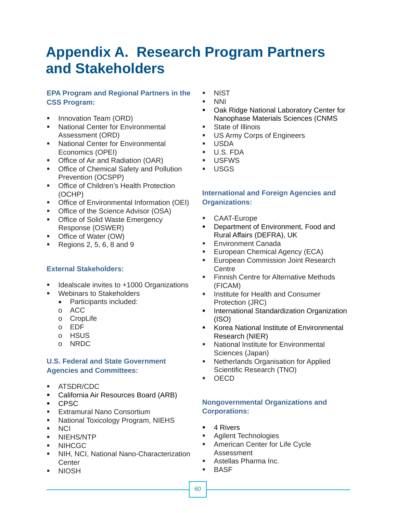## **Appendix A. Research Program Partners and Stakeholders**

### **EPA Program and Regional Partners in the CSS Program:**

- **Innovation Team (ORD)**
- **National Center for Environmental** Assessment (ORD)
- **National Center for Environmental** Economics (OPEI)
- **Office of Air and Radiation (OAR)**
- **Office of Chemical Safety and Pollution** Prevention (OCSPP)
- **Office of Children's Health Protection** (OCHP)
- **Office of Environmental Information (OEI)**
- **Office of the Science Advisor (OSA)**
- **Office of Solid Waste Emergency** Response (OSWER)
- Office of Water (OW)
- Regions 2, 5, 6, 8 and 9

### **External Stakeholders:**

- **IDEALS** Idealscale invites to +1000 Organizations
- Webinars to Stakeholders
	- Participants included:
	- o ACC
	- o CropLife
	- o EDF
	- o HSUS
	- o NRDC

### **U.S. Federal and State Government Agencies and Committees:**

- ATSDR/CDC
- **California Air Resources Board (ARB)**
- CPSC
- **Extramural Nano Consortium**
- **National Toxicology Program, NIEHS**
- NCI
- **NIEHS/NTP**
- **NIHCGC**
- NIH, NCI, National Nano-Characterization **Center**
- NIOSH BASE
- **NIST**
- NNI
- **Dak Ridge National Laboratory Center for** Nanophase Materials Sciences (CNMS
- **State of Illinois**
- **US Army Corps of Engineers**
- USDA
- U.S. FDA
- USFWS
- USGS

### **International and Foreign Agencies and Organizations:**

- CAAT-Europe
- **Department of Environment, Food and** Rural Affairs (DEFRA), UK
- **Environment Canada**
- **European Chemical Agency (ECA)**
- **European Commission Joint Research Centre**
- **Finnish Centre for Alternative Methods** (FICAM)
- **Institute for Health and Consumer** Protection (JRC)
- **International Standardization Organization** (ISO)
- **Korea National Institute of Environmental** Research (NIER)
- **National Institute for Environmental** Sciences (Japan)
- **Netherlands Organisation for Applied** Scientific Research (TNO)
- OECD

### **Nongovernmental Organizations and Corporations:**

- 4 Rivers
- **Agilent Technologies**
- **American Center for Life Cycle** Assessment
- Astellas Pharma Inc.
-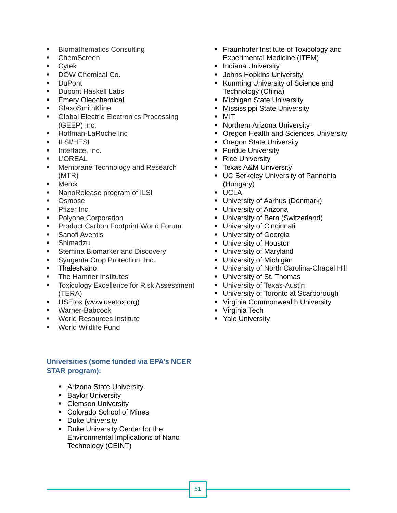- **Biomathematics Consulting**
- ChemScreen
- Cytek
- **DOW Chemical Co.**
- **DuPont**
- **Dupont Haskell Labs**
- **Emery Oleochemical**
- **GlaxoSmithKline**
- **Global Electric Electronics Processing** (GEEP) Inc.
- Hoffman-LaRoche Inc
- $II$  SI/HESI
- **Interface, Inc.**
- L'OREAL
- **Membrane Technology and Research** (MTR)
- Merck
- **NanoRelease program of ILSI**
- **D**Smose
- $\blacksquare$  Pfizer Inc.
- Polyone Corporation
- **Product Carbon Footprint World Forum**
- **Sanofi Aventis**
- Shimadzu
- Stemina Biomarker and Discovery
- **Syngenta Crop Protection, Inc.**
- **ThalesNano**
- **The Hamner Institutes**
- **Toxicology Excellence for Risk Assessment** (TERA)
- **USEtox (www.usetox.org)**
- Warner-Babcock
- **World Resources Institute**
- World Wildlife Fund

### **Universities (some funded via EPA's NCER STAR program):**

- **Arizona State University**
- **Baylor University**
- Clemson University
- Colorado School of Mines
- **-** Duke University
- Duke University Center for the Environmental Implications of Nano Technology (CEINT)
- **Fraunhofer Institute of Toxicology and** Experimental Medicine (ITEM)
- **Indiana University**
- **Johns Hopkins University**
- Kunming University of Science and Technology (China)
- **Michigan State University**
- Mississippi State University
- MIT
- **Northern Arizona University**
- Oregon Health and Sciences University
- Oregon State University
- Purdue University
- Rice University
- **Texas A&M University**
- **UC Berkeley University of Pannonia** (Hungary)
- UCLA
- **University of Aarhus (Denmark)**
- **University of Arizona**
- **-** University of Bern (Switzerland)
- **University of Cincinnati**
- **University of Georgia**
- **University of Houston**
- University of Maryland
- **University of Michigan**
- University of North Carolina-Chapel Hill
- **University of St. Thomas**
- **University of Texas-Austin**
- **University of Toronto at Scarborough**
- **Virginia Commonwealth University**
- **Virginia Tech**
- Yale University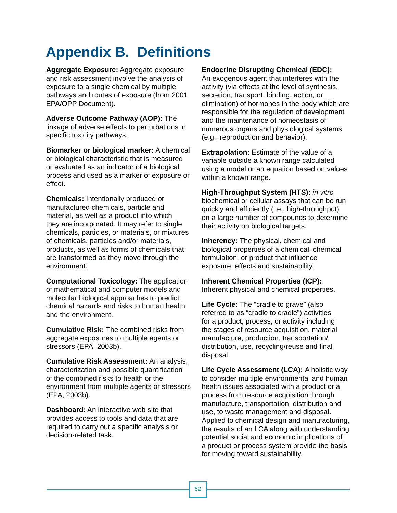## **Appendix B. Definitions**

**Aggregate Exposure:** Aggregate exposure and risk assessment involve the analysis of exposure to a single chemical by multiple pathways and routes of exposure (from 2001 EPA/OPP Document).

**Adverse Outcome Pathway (AOP):** The linkage of adverse effects to perturbations in specific toxicity pathways.

**Biomarker or biological marker:** A chemical or biological characteristic that is measured or evaluated as an indicator of a biological process and used as a marker of exposure or effect.

**Chemicals:** Intentionally produced or manufactured chemicals, particle and material, as well as a product into which they are incorporated. It may refer to single chemicals, particles, or materials, or mixtures of chemicals, particles and/or materials, products, as well as forms of chemicals that are transformed as they move through the environment.

**Computational Toxicology:** The application of mathematical and computer models and molecular biological approaches to predict chemical hazards and risks to human health and the environment.

**Cumulative Risk:** The combined risks from aggregate exposures to multiple agents or stressors (EPA, 2003b).

**Cumulative Risk Assessment:** An analysis, characterization and possible quantification of the combined risks to health or the environment from multiple agents or stressors (EPA, 2003b).

**Dashboard:** An interactive web site that provides access to tools and data that are required to carry out a specific analysis or decision-related task.

### **Endocrine Disrupting Chemical (EDC):**

An exogenous agent that interferes with the activity (via effects at the level of synthesis, secretion, transport, binding, action, or elimination) of hormones in the body which are responsible for the regulation of development and the maintenance of homeostasis of numerous organs and physiological systems (e.g., reproduction and behavior).

**Extrapolation:** Estimate of the value of a variable outside a known range calculated using a model or an equation based on values within a known range.

**High-Throughput System (HTS): in vitro** biochemical or cellular assays that can be run quickly and efficiently (i.e., high-throughput) on a large number of compounds to determine their activity on biological targets.

**Inherency:** The physical, chemical and biological properties of a chemical, chemical formulation, or product that influence exposure, effects and sustainability.

### **Inherent Chemical Properties (ICP):**

Inherent physical and chemical properties.

**Life Cycle:** The "cradle to grave" (also referred to as "cradle to cradle") activities for a product, process, or activity including the stages of resource acquisition, material manufacture, production, transportation/ distribution, use, recycling/reuse and final disposal.

**Life Cycle Assessment (LCA):** A holistic way to consider multiple environmental and human health issues associated with a product or a process from resource acquisition through manufacture, transportation, distribution and use, to waste management and disposal. Applied to chemical design and manufacturing, the results of an LCA along with understanding potential social and economic implications of a product or process system provide the basis for moving toward sustainability.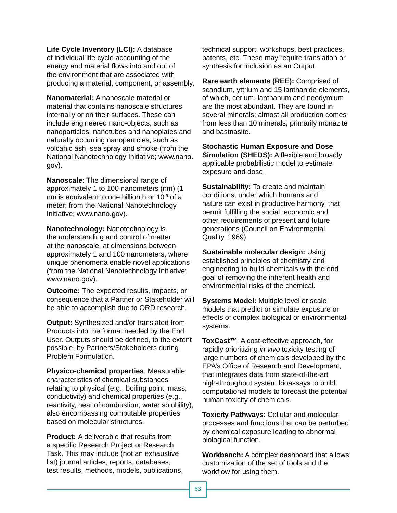**Life Cycle Inventory (LCI):** A database of individual life cycle accounting of the energy and material flows into and out of the environment that are associated with producing a material, component, or assembly.

**Nanomaterial:** A nanoscale material or material that contains nanoscale structures internally or on their surfaces. These can include engineered nano-objects, such as nanoparticles, nanotubes and nanoplates and naturally occurring nanoparticles, such as volcanic ash, sea spray and smoke (from the National Nanotechnology Initiative; www.nano. gov).

**Nanoscale**: The dimensional range of approximately 1 to 100 nanometers (nm) (1 nm is equivalent to one billionth or 10-9 of a meter; from the National Nanotechnology Initiative; www.nano.gov).

**Nanotechnology:** Nanotechnology is the understanding and control of matter at the nanoscale, at dimensions between approximately 1 and 100 nanometers, where unique phenomena enable novel applications (from the National Nanotechnology Initiative; www.nano.gov).

**Outcome:** The expected results, impacts, or consequence that a Partner or Stakeholder will be able to accomplish due to ORD research.

**Output:** Synthesized and/or translated from Products into the format needed by the End User. Outputs should be defined, to the extent possible, by Partners/Stakeholders during Problem Formulation.

**Physico-chemical properties**: Measurable characteristics of chemical substances relating to physical (e.g., boiling point, mass, conductivity) and chemical properties (e.g., reactivity, heat of combustion, water solubility), also encompassing computable properties based on molecular structures.

**Product:** A deliverable that results from a specific Research Project or Research Task. This may include (not an exhaustive list) journal articles, reports, databases, test results, methods, models, publications,

technical support, workshops, best practices, patents, etc. These may require translation or synthesis for inclusion as an Output.

**Rare earth elements (REE):** Comprised of scandium, yttrium and 15 lanthanide elements, of which, cerium, lanthanum and neodymium are the most abundant. They are found in several minerals; almost all production comes from less than 10 minerals, primarily monazite and bastnasite.

**Stochastic Human Exposure and Dose Simulation (SHEDS):** A flexible and broadly applicable probabilistic model to estimate exposure and dose.

**Sustainability:** To create and maintain conditions, under which humans and nature can exist in productive harmony, that permit fulfilling the social, economic and other requirements of present and future generations (Council on Environmental Quality, 1969).

 environmental risks of the chemical. **Sustainable molecular design:** Using established principles of chemistry and engineering to build chemicals with the end goal of removing the inherent health and

**Systems Model:** Multiple level or scale models that predict or simulate exposure or effects of complex biological or environmental systems.

**ToxCast***™*: A cost-effective approach, for rapidly prioritizing *in vivo* toxicity testing of large numbers of chemicals developed by the EPA's Office of Research and Development, that integrates data from state-of-the-art high-throughput system bioassays to build computational models to forecast the potential human toxicity of chemicals.

**Toxicity Pathways**: Cellular and molecular processes and functions that can be perturbed by chemical exposure leading to abnormal biological function.

**Workbench:** A complex dashboard that allows customization of the set of tools and the workflow for using them.